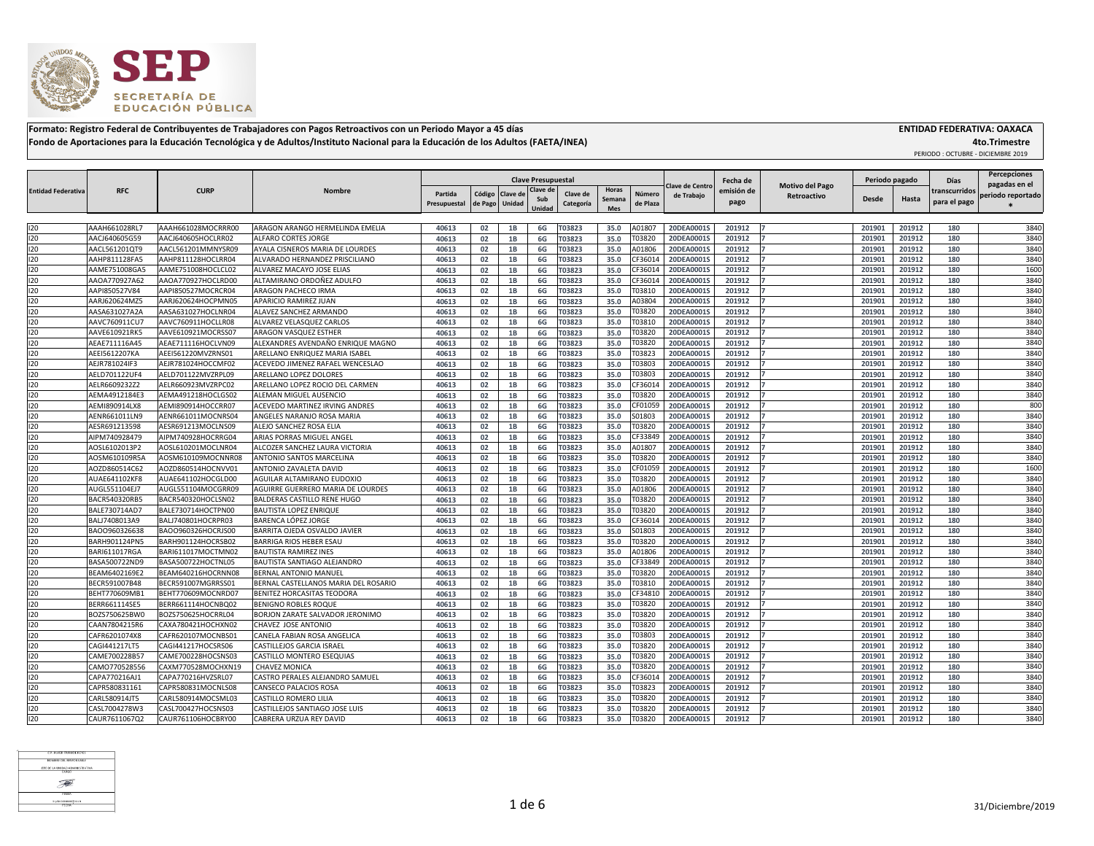## **4to.Trimestre**

PERIODO : OCTUBRE - DICIEMBRE 2019



**Formato: Registro Federal de Contribuyentes de Trabajadores con Pagos Retroactivos con un Periodo Mayor a 45 días ENTIDAD FEDERATIVA: OAXACA Fondo de Aportaciones para la Educación Tecnológica y de Adultos/Instituto Nacional para la Educación de los Adultos (FAETA/INEA)**

|                           |                      |                    |                                        | <b>Clave Presupuestal</b> |                  |                   | Fecha de |               | Periodo pagado |          | <b>Percepciones</b><br><b>Días</b><br>pagadas en el |            |                        |              |        |               |                   |
|---------------------------|----------------------|--------------------|----------------------------------------|---------------------------|------------------|-------------------|----------|---------------|----------------|----------|-----------------------------------------------------|------------|------------------------|--------------|--------|---------------|-------------------|
| <b>Entidad Federativa</b> | <b>RFC</b>           | <b>CURP</b>        | <b>Nombre</b>                          | Partida                   |                  | Código   Clave de | Clave de | Clave de      | <b>Horas</b>   | Número   | <b>Clave de Centro</b><br>de Trabajo                | emisión de | <b>Motivo del Pago</b> |              |        | transcurridos | periodo reportado |
|                           |                      |                    |                                        | Presupuestal              | de Pago   Unidad |                   | Sub      | Categoría     | Semana         | de Plaza |                                                     | pago       | Retroactivo            | <b>Desde</b> | Hasta  | para el pago  |                   |
|                           |                      |                    |                                        |                           |                  |                   | Unidad   |               | <b>Mes</b>     |          |                                                     |            |                        |              |        |               |                   |
| 120                       | AAAH661028RL7        | AAAH661028MOCRRR00 | ARAGON ARANGO HERMELINDA EMELIA        | 40613                     | 02               |                   | 6G       | T03823        | 35.0           | A0180    | 20DEA0001S                                          | 201912     |                        | 201901       | 201912 | 180           | 3840              |
| 120                       | AACJ640605G59        | AACJ640605HOCLRR02 | <b>ALFARO CORTES JORGE</b>             | 40613                     | 02               | <b>1B</b>         | 6G       | T03823        | 35.0           | T03820   | 20DEA0001S                                          | 201912     |                        | 20190        | 201912 | 180           | 3840              |
| 120                       | AACL561201QT9        | AACL561201MMNYSR09 | AYALA CISNEROS MARIA DE LOURDES        | 40613                     | 02               | 1B                | 6G       | T03823        | 35.0           | A01806   | 20DEA0001S                                          | 201912     |                        | 20190        | 201912 | 180           | 3840              |
| 120                       | AAHP811128FA5        | AAHP811128HOCLRR04 | ALVARADO HERNANDEZ PRISCILIANO         | 40613                     | 02               | 1B                | 6G       | <b>ГОЗ823</b> | 35.0           | CF3601   | 20DEA0001S                                          | 201912     |                        | 201901       | 201912 | 180           | 3840              |
| 120                       | AAME751008GA5        | AAME751008HOCLCL02 | ALVAREZ MACAYO JOSE ELIAS              | 40613                     | 02               | 1B                | 6G       | T03823        | 35.0           | CF3601   | 20DEA00019                                          | 201912     |                        | 20190        | 201912 | 180           | 1600              |
| 120                       | AAOA770927A62        | AAOA770927HOCLRD00 | ALTAMIRANO ORDOÑEZ ADULFO              | 40613                     | 02               | 1B                | 6G       | T03823        | 35.0           | CF3601   | 20DEA0001S                                          | 201912     |                        | 201901       | 201912 | 180           | 3840              |
| 120                       | AAPI850527V84        | AAPI850527MOCRCR04 | <b>ARAGON PACHECO IRMA</b>             | 40613                     | 02               | 1B                | 6G       | T03823        | 35.0           | T03810   | 20DEA0001S                                          | 201912     |                        | 201901       | 201912 | 180           | 3840              |
| 120                       | AARJ620624MZ5        | AARJ620624HOCPMN05 | APARICIO RAMIREZ JUAN                  | 40613                     | 02               | 1B                | 6G       | T03823        | 35.0           | A03804   | 20DEA0001S                                          | 201912     |                        | 201901       | 201912 | 180           | 3840              |
| 120                       | AASA631027A2A        | AASA631027HOCLNR04 | ALAVEZ SANCHEZ ARMANDO                 | 40613                     | 02               | 1R                | 6G       | T03823        | 35.0           | T03820   | 20DEA0001S                                          | 201912     |                        | 20190        | 201912 | 180           | 3840              |
| 120                       | AAVC760911CU7        | AAVC760911HOCLLR08 | ALVAREZ VELASQUEZ CARLOS               | 40613                     | 02               | 1B                | 6G       | <b>ГОЗ823</b> | 35.0           | T0381    | 20DEA00019                                          | 201912     |                        | 20190        | 201912 | 180           | 3840              |
| 120                       | AAVE610921RK5        | AAVE610921MOCRSS07 | <b>ARAGON VASQUEZ ESTHER</b>           | 40613                     | 02               | 1B                | 6G       | 03823         | 35.0           | T03820   | 20DEA0001S                                          | 201912     |                        | 20190        | 201912 | 180           | 3840              |
| 120                       | AEAE711116A45        | AEAE711116HOCLVN09 | ALEXANDRES AVENDAÑO ENRIQUE MAGNO      | 40613                     | 02               | 1B                | 6G       | <b>ГОЗ823</b> | 35.0           | T03820   | 20DEA0001S                                          | 201912     |                        | 20190        | 201912 | 180           | 3840              |
| 120                       | AEEI5612207KA        | AEEI561220MVZRNS01 | <b>ARELLANO ENRIQUEZ MARIA ISABEL</b>  | 40613                     | 02               | 1B                | 6G       | T03823        | 35.0           | T03823   | 20DEA0001S                                          | 201912     |                        | 201901       | 201912 | 180           | 3840              |
| 120                       | AEJR781024IF3        | AEJR781024HOCCMF02 | ACEVEDO JIMENEZ RAFAEL WENCESLAO       | 40613                     | 02               | 1B                | 6G       | T03823        | 35.0           | T03803   | 20DEA00019                                          | 201912     |                        | 201901       | 201912 | 180           | 3840              |
| 120                       | AELD701122UF4        | AELD701122MVZRPL09 | ARELLANO LOPEZ DOLORES                 | 40613                     | 02               | 1B                | 6G       | <b>ГОЗ823</b> | 35.0           | T03803   | 20DEA0001S                                          | 201912     |                        | 20190        | 201912 | 180           | 3840              |
| 20                        | AELR6609232Z2        | AELR660923MVZRPC02 | ARELLANO LOPEZ ROCIO DEL CARMEN        | 40613                     | 02               | 1B                | 6G       | T03823        | 35.0           | CF3601   | 20DEA0001S                                          | 201912     |                        | 20190        | 201912 | 180           | 3840              |
| 120                       | AEMA4912184E3        | AEMA491218HOCLGS02 | <b>ALEMAN MIGUEL AUSENCIO</b>          | 40613                     | 02               | 1B                | 6G       | <b>ГОЗ823</b> | 35.0           | T03820   | 20DEA0001S                                          | 201912     |                        | 20190        | 201912 | 180           | 3840              |
| 120                       | AEMI890914LX8        | AEMI890914HOCCRR07 | <b>ACEVEDO MARTINEZ IRVING ANDRES</b>  | 40613                     | 02               | 1B                | 6G       | T03823        | 35.0           | CF01059  | 20DEA0001S                                          | 201912     |                        | 201901       | 201912 | 180           | 800               |
| 120                       | AENR661011LN9        | AENR661011MOCNRS04 | ANGELES NARANJO ROSA MARIA             | 40613                     | 02               | 1B                | 6G       | T03823        | 35.0           | S01803   | 20DEA00019                                          | 201912     |                        | 20190        | 201912 | 180           | 3840              |
| 120                       | AESR691213598        | AESR691213MOCLNS09 | <b>ALEJO SANCHEZ ROSA ELIA</b>         | 40613                     | 02               | 1B                |          | T03823        | 35.0           | T03820   | 20DEA0001S                                          | 201912     |                        | 201901       | 201912 | 180           | 3840              |
| 120                       | AIPM740928479        | AIPM740928HOCRRG04 | <b>ARIAS PORRAS MIGUEL ANGEL</b>       |                           | 02               | 1 <sub>B</sub>    | 6G       |               |                | CF3384   | 20DEA0001S                                          | 201912     |                        | 20190        | 201912 | 180           | 3840              |
| 120                       | AOSL6102013P2        | AOSL610201MOCLNR04 | ALCOZER SANCHEZ LAURA VICTORIA         | 40613<br>40613            |                  |                   | 6G       | T03823        | 35.0           | A0180    | 20DEA0001S                                          | 201912     |                        | 20190        | 201912 | 180           | 3840              |
|                           |                      |                    |                                        |                           | 02               | 1B<br>1B          | 6G       | T03823        | 35.0           | T03820   |                                                     |            |                        |              |        |               | 3840              |
| 120                       | AOSM610109R5A        | AOSM610109MOCNNR08 | <b>ANTONIO SANTOS MARCELINA</b>        | 40613                     | 02               |                   | 6G       | T03823        | 35.0           |          | 20DEA0001S                                          | 201912     |                        | 20190        | 201912 | 180           | 1600              |
| 120<br>120                | AOZD860514C62        | AOZD860514HOCNVV01 | ANTONIO ZAVALETA DAVID                 | 40613                     | 02               | 1B                | 6G       | 03823         | 35.0           | CF0105   | 20DEA00019                                          | 201912     |                        | 20190        | 201912 | 180           |                   |
|                           | AUAE641102KF8        | AUAE641102HOCGLD00 | <b>AGUILAR ALTAMIRANO EUDOXIO</b>      | 40613                     | 02<br>በን         | 1 <sub>R</sub>    | 6G       | 03823         | 35.0           | T03820   | 20DEA0001S                                          | 201912     |                        | 20190        | 201912 | 180           | 3840              |
| 120                       | AUGL551104EJ7        | AUGL551104MOCGRR09 | AGUIRRE GUERRERO MARIA DE LOURDES      | 40613                     | ◡▃               | --                | 6G       | T03823        | 35.0           | A01806   | 20DEA0001S                                          | 201912     |                        | 201901       | 201912 | 180           | 3840              |
| 120                       | <b>BACR540320RB5</b> | BACR540320HOCLSN02 | <b>BALDERAS CASTILLO RENE HUGO</b>     | 40613                     | 02               | 1B                | 6G       | T03823        | 35.0           | T03820   | 20DEA0001S                                          | 201912     |                        | 201901       | 201912 | 180           | 3840              |
| 120                       | BALE730714AD7        | BALE730714HOCTPN00 | <b>BAUTISTA LOPEZ ENRIQUE</b>          | 40613                     | 02               |                   | 6G       | T03823        | 35.0           | T03820   | 20DEA0001S                                          | 201912     |                        | 201901       | 201912 | 180           | 3840              |
| 120                       | BALJ7408013A9        | BALJ740801HOCRPR03 | BARENCA LÓPEZ JORGE                    | 40613                     | 02               | 1B                | 6G       | T03823        | 35.0           | CF3601   | 20DEA0001S                                          | 201912     |                        | 20190        | 201912 | 180           | 3840              |
| 120                       | BAOO960326638        | BAO0960326HOCRJS00 | BARRITA OJEDA OSVALDO JAVIER           | 40613                     | 02               | 1B                | 6G       | <b>ГОЗ823</b> | 35.0           | S01803   | 20DEA0001S                                          | 201912     |                        | 201901       | 201912 | 180           | 3840              |
| 120                       | BARH901124PN5        | BARH901124HOCRSB02 | <b>BARRIGA RIOS HEBER ESAU</b>         | 40613                     | 02               | 1B                | 6G       | <b>ГОЗ823</b> | 35.0           | T03820   | 20DEA0001S                                          | 201912     |                        | 201901       | 201912 | 180           | 3840              |
| 120                       | BARI611017RGA        | BARI611017MOCTMN02 | <b>BAUTISTA RAMIREZ INES</b>           | 40613                     | 02               | 1B                | 6G       | T03823        | 35.0           | A01806   | 20DEA0001S                                          | 201912     |                        | 201901       | 201912 | 180           | 3840              |
| 120                       | BASA500722ND9        | BASA500722HOCTNL05 | <b>IBAUTISTA SANTIAGO ALEJANDRO</b>    | 40613                     | 02               | 1B                | 6G       | T03823        | 35.0           | CF33849  | 20DEA0001S                                          | 201912     |                        | 201901       | 201912 | 180           | 3840              |
| 120                       | BEAM6402169E2        | BEAM640216HOCRNN08 | BERNAL ANTONIO MANUEL                  | 40613                     | 02               | 1B                | 6G       | T03823        | 35.0           | T03820   | 20DEA0001S                                          | 201912     |                        | 201901       | 201912 | 180           | 3840              |
| 120                       | BECR591007B48        | BECR591007MGRRSS01 | BERNAL CASTELLANOS MARIA DEL ROSARIO   | 40613                     | 02               |                   | 6G       | T03823        | 35.0           | T03810   | 20DEA0001S                                          | 201912     |                        | 201901       | 201912 | 180           | 3840              |
| 120                       | BEHT770609MB1        | BEHT770609MOCNRD07 | <b>BENITEZ HORCASITAS TEODORA</b>      | 40613                     | 02               | 1B                | 6G       | T03823        | 35.0           | CF3481   | 20DEA0001S                                          | 201912     |                        | 201901       | 201912 | 180           | 3840              |
| 120                       | BERR661114SE5        | BERR661114HOCNBQ02 | <b>BENIGNO ROBLES ROQUE</b>            | 40613                     | 02               | 1B                | 6G       | 03823         | 35.0           | T03820   | 20DEA0001S                                          | 201912     |                        | 201901       | 201912 | 180           | 3840              |
| 120                       | BOZS750625BW0        | BOZS750625HOCRRL04 | <b>BORJON ZARATE SALVADOR JERONIMO</b> | 40613                     | 02               | 1B                | 6G       | T03823        | 35.0           | T03820   | 20DEA0001S                                          | 201912     |                        | 201901       | 201912 | 180           | 3840              |
| 120                       | CAAN7804215R6        | CAXA780421HOCHXN02 | CHAVEZ JOSE ANTONIO                    | 40613                     | 02               | 1B                | 6G       | T03823        | 35.0           | T03820   | 20DEA0001S                                          | 201912     |                        | 201901       | 201912 | 180           | 3840              |
| 120                       | CAFR6201074X8        | CAFR620107MOCNBS01 | CANELA FABIAN ROSA ANGELICA            | 40613                     | 02               | 1B                | 6G       | T03823        | 35.0           | T03803   | 20DEA0001S                                          | 201912     |                        | 201901       | 201912 | 180           | 3840              |
| 120                       | CAGI441217LT5        | CAGI441217HOCSRS06 | <b>CASTILLEJOS GARCIA ISRAEL</b>       | 40613                     | 02               | 1B                | 6G       | T03823        | 35.0           | T03820   | 20DEA0001S                                          | 201912     |                        | 201901       | 201912 | 180           | 3840              |
| 120                       | CAME700228B57        | CAME700228HOCSNS03 | <b>CASTILLO MONTERO ESEQUIAS</b>       | 40613                     | 02               | 1B                | 6G       | T03823        | 35.0           | T03820   | 20DEA0001S                                          | 201912     |                        | 201901       | 201912 | 180           | 3840              |
| 120                       | CAMO770528556        | CAXM770528MOCHXN19 | <b>CHAVEZ MONICA</b>                   | 40613                     | 02               | 1B                | 6G       | <b>ГОЗ823</b> | 35.0           | T03820   | 20DEA0001S                                          | 201912     |                        | 201901       | 201912 | 180           | 3840              |
| 120                       | CAPA770216AJ1        | CAPA770216HVZSRL07 | CASTRO PERALES ALEJANDRO SAMUEL        | 40613                     | 02               | 1B                | 6G       | <b>ГОЗ823</b> | 35.0           | CF3601   | 20DEA0001S                                          | 201912     |                        | 201901       | 201912 | 180           | 3840              |
| 120                       | CAPR580831161        | CAPR580831MOCNLS08 | <b>CANSECO PALACIOS ROSA</b>           | 40613                     | 02               | 1B                | 6G       | T03823        | 35.0           | T03823   | 20DEA0001S                                          | 201912     |                        | 201901       | 201912 | 180           | 3840              |
| 120                       | CARL580914JT5        | CARL580914MOCSML03 | <b>CASTILLO ROMERO LILIA</b>           | 40613                     | 02               | 1B                | 6G       | T03823        | 35.0           | T03820   | 20DEA0001S                                          | 201912     |                        | 201901       | 201912 | 180           | 3840              |
| 120                       | CASL7004278W3        | CASL700427HOCSNS03 | CASTILLEJOS SANTIAGO JOSE LUIS         | 40613                     | 02               |                   | 6G       | T03823        | 35.0           | T03820   | 20DEA0001S                                          | 201912     |                        | 201901       | 201912 | 180           | 3840              |
| 120                       | CAUR7611067Q2        | CAUR761106HOCBRY00 | CABRERA URZUA REY DAVID                | 40613                     | 02               | 1B                | 6G       | T03823        | 35.0           | T03820   | 20DEA0001S                                          | 201912     |                        | 201901       | 201912 | 180           | 3840              |

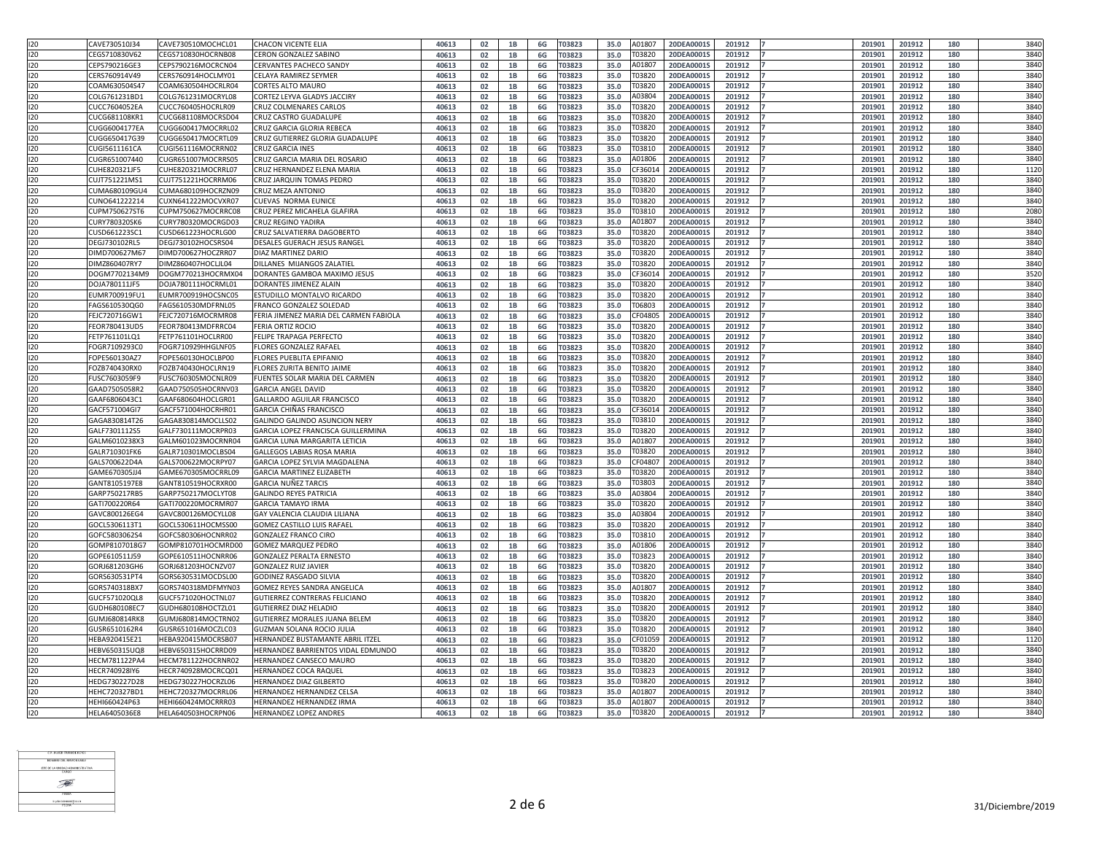| 120               | CAVE730510J34 | CAVE730510MOCHCL01 | <b>CHACON VICENTE ELIA</b>                | 40613 | 02        |                 | 6G | T03823        | 35.0 | A0180       | 20DEA0001S<br>201912 | 201901 | 201912 | 180 | 3840                      |
|-------------------|---------------|--------------------|-------------------------------------------|-------|-----------|-----------------|----|---------------|------|-------------|----------------------|--------|--------|-----|---------------------------|
| 120               | CEGS710830V62 | CEGS710830HOCRNB08 | <b>CERON GONZALEZ SABINO</b>              | 40613 | 02        | 1B              | 6G | T03823        | 35.0 | T03820      | 20DEA0001S<br>201912 | 201901 | 201912 | 180 | 3840                      |
| 120               |               |                    |                                           |       |           |                 |    |               |      |             |                      |        |        |     |                           |
|                   | CEPS790216GE3 | CEPS790216MOCRCN04 | <b>CERVANTES PACHECO SANDY</b>            | 40613 | 02        | 1B              | 6G | <b>ГОЗ823</b> | 35.0 | 40180       | 20DEA0001S<br>201912 | 201901 | 201912 | 180 | 3840                      |
| 120               | CERS760914V49 | CERS760914HOCLMY01 | <b>CELAYA RAMIREZ SEYMER</b>              | 40613 | 02        |                 | 6G | T03823        | 35.0 | T03820      | 20DEA0001S<br>201912 | 201901 | 201912 | 180 | 3840                      |
| 120               | COAM630504S47 | COAM630504HOCRLR04 | <b>CORTES ALTO MAURO</b>                  | 40613 | 02        |                 | 6G | T03823        | 35.0 | T03820      | 20DEA0001S<br>201912 | 201901 | 201912 | 180 | 3840                      |
| 120               | COLG761231BD1 | COLG761231MOCRYL08 | CORTEZ LEYVA GLADYS JACCIRY               | 40613 | 02        | 1B              | 6G | T03823        | 35.0 | A03804      | 20DEA0001S<br>201912 | 201901 | 201912 | 180 | 3840                      |
| 120               | CUCC7604052EA | CUCC760405HOCRLR09 | <b>CRUZ COLMENARES CARLOS</b>             | 40613 | 02        |                 | 6G | T03823        | 35.0 | T0382       | 20DEA0001S<br>201912 | 201901 | 201912 | 180 | 3840                      |
| 120               | CUCG681108KR1 | CUCG681108MOCRSD04 | <b>CRUZ CASTRO GUADALUPE</b>              | 40613 | 02        | 1B              | 6G | T03823        | 35.0 | T03820      | 20DEA0001S<br>201912 | 201901 | 201912 | 180 | 3840                      |
| 120               | CUGG6004177EA | CUGG600417MOCRRL02 | CRUZ GARCIA GLORIA REBECA                 | 40613 | 02        | 1 <sub>B</sub>  | 6G | T03823        | 35.0 | Г0382       | 20DEA0001S<br>201912 | 201901 | 201912 | 180 | 3840                      |
| 120               | CUGG650417G39 | CUGG650417MOCRTL09 | CRUZ GUTIERREZ GLORIA GUADALUPE           | 40613 | 02        | 1B              | 6G | T03823        | 35.0 | Г0382       | 20DEA00019<br>201912 | 20190  | 201912 | 180 | 3840                      |
| 120               | CUGI5611161CA | CUGI561116MOCRRN02 | <b>CRUZ GARCIA INES</b>                   | 40613 | 02        |                 | 6G | T03823        | 35.0 | T0381       | 20DEA0001S<br>201912 | 201901 | 201912 | 180 | 3840                      |
| 120               | CUGR651007440 | CUGR651007MOCRRS05 | CRUZ GARCIA MARIA DEL ROSARIO             | 40613 | 02        | 1B              | 6G | T03823        | 35.0 | A01806      | 20DEA0001S<br>201912 | 201901 | 201912 | 180 | 3840                      |
| 120               |               |                    | <b>CRUZ HERNANDEZ ELENA MARIA</b>         |       |           |                 |    |               |      | CF3601      | 20DEA0001S           |        | 201912 | 180 | 1120                      |
|                   | CUHE820321JF5 | CUHE820321MOCRRL07 |                                           | 40613 | 02        | 1B              | 6G | T03823        | 35.0 |             | 201912               | 201901 |        |     |                           |
| 120               | CUJT751221MS1 | CUJT751221HOCRRM06 | CRUZ JARQUIN TOMAS PEDRO                  | 40613 | 02        | 1B              | 6G | T03823        | 35.0 | 0382        | 20DEA0001S<br>201912 | 201901 | 201912 | 180 | 3840                      |
| 120               | CUMA680109GU4 | CUMA680109HOCRZN09 | CRUZ MEZA ANTONIO                         | 40613 | 02        | 1B              | 6G | <b>ГОЗ823</b> | 35.0 | T03820      | 201912<br>20DEA00019 | 201901 | 201912 | 180 | 3840                      |
| 120               | CUNO641222214 | CUXN641222MOCVXR07 | CUEVAS NORMA EUNICE                       | 40613 | 02        | <b>1B</b>       | 6G | <b>ГОЗ823</b> | 35.0 | Г0382       | 20DEA0001S<br>201912 | 20190  | 201912 | 180 | 3840                      |
| 120               | CUPM750627ST6 | CUPM750627MOCRRC08 | CRUZ PEREZ MICAHELA GLAFIRA               | 40613 | 02        |                 | 6G | <b>ГОЗ823</b> | 35.0 | T0381       | 20DEA0001S<br>201912 | 20190  | 201912 | 180 | 2080                      |
| 120               | CURY780320SK6 | CURY780320MOCRGD03 | <b>CRUZ REGINO YADIRA</b>                 | 40613 | 02        |                 | 6G | T03823        | 35.0 | A01807      | 20DEA0001S<br>201912 | 201901 | 201912 | 180 | 3840                      |
| 120               | CUSD661223SC: | CUSD661223HOCRLG00 | CRUZ SALVATIERRA DAGOBERTO                | 40613 | 02        | 1B              | 6G | T03823        | 35.0 | <b>0382</b> | 20DEA0001S<br>201912 | 201901 | 201912 | 180 | 3840                      |
| 120               | DEGJ730102RL5 | DEGJ730102HOCSRS04 | DESALES GUERACH JESUS RANGEL              | 40613 | 02        |                 | 6G | T03823        | 35.0 | Г0382       | 20DEA0001S<br>201912 | 201901 | 201912 | 180 | 3840                      |
| 120               | DIMD700627M67 | DIMD700627HOCZRR07 | <b>DIAZ MARTINEZ DARIO</b>                | 40613 | 02        | <b>1R</b>       | 6G | T03823        | 35.0 | T0382       | 20DEA0001S<br>201912 | 201901 | 201912 | 180 | 3840                      |
| 120               | DIMZ860407RY7 | DIMZ860407HOCLJL04 | DILLANES MIJANGOS ZALATIEL                | 40613 | 02        | 1B              | 6G | T03823        | 35.0 | T03820      | 20DEA0001S<br>201912 | 20190  | 201912 | 180 | 3840                      |
| 120               | DOGM7702134M9 | DOGM770213HOCRMX04 | DORANTES GAMBOA MAXIMO JESUS              |       |           | 1B              |    |               |      | F360:       | 20DEA0001S<br>201912 | 201901 | 201912 | 180 | 3520                      |
|                   |               |                    |                                           | 40613 | 02        |                 | 6G | T03823        | 35.0 |             |                      |        |        |     |                           |
| 120               | DOJA780111JF5 | DOJA780111HOCRML01 | <b>DORANTES JIMENEZ ALAIN</b>             | 40613 | 02        |                 | 6G | T03823        | 35.0 | T03820      | 20DEA00019<br>201912 | 20190  | 201912 | 180 | 3840                      |
| 120               | EUMR700919FU1 | EUMR700919HOCSNC05 | ESTUDILLO MONTALVO RICARDO                | 40613 | 02        |                 | 6G | T03823        | 35.0 | <b>0382</b> | 20DEA0001S<br>201912 | 201901 | 201912 | 180 | 3840                      |
| 120               | FAGS610530QG0 | FAGS610530MDFRNL05 | FRANCO GONZALEZ SOLEDAD                   | 40613 | 02        | 1B              | 6G | T03823        | 35.0 | F06803      | 20DEA0001S<br>201912 | 201901 | 201912 | 180 | 3840                      |
| 120               | FEJC720716GW1 | FEJC720716MOCRMR08 | FERIA JIMENEZ MARIA DEL CARMEN FABIOLA    | 40613 | 02        |                 | 6G | T03823        | 35.0 | CF0480      | 201912<br>20DEA0001S | 201901 | 201912 | 180 | 3840                      |
| 120               | FEOR780413UD5 | FEOR780413MDFRRC04 | <b>FERIA ORTIZ ROCIO</b>                  | 40613 | 02        | 1 <sub>B</sub>  | 6G | T03823        | 35.0 | <b>0382</b> | 20DEA0001S<br>201912 | 201901 | 201912 | 180 | 3840                      |
| 120               | FETP761101LQ1 | FETP761101HOCLRR0C | <b>FELIPE TRAPAGA PERFECTO</b>            | 40613 | 02        | 1B              | 6G | <b>ГОЗ823</b> | 35.0 | T03820      | 20DEA0001S<br>201912 | 20190  | 201912 | 180 | 3840                      |
| 120               | FOGR7109293C0 | FOGR710929HHGLNF05 | FLORES GONZALEZ RAFAEL                    | 40613 | 02        |                 | 6G | <b>ГОЗ823</b> | 35.0 | T03820      | 20DEA0001S<br>201912 | 201901 | 201912 | 180 | 3840                      |
| $\overline{120}$  | FOPE560130AZ7 | FOPE560130HOCLBP00 | <b>FLORES PUEBLITA EPIFANIO</b>           | 40613 | <b>02</b> | 1R              | 6G | T03823        | 35.0 | T03820      | 20DEA0001S<br>201912 | 201901 | 201912 | 180 | 3840                      |
| 120               | FOZB740430RX0 | FOZB740430HOCLRN19 | <b>FLORES ZURITA BENITO JAIME</b>         | 40613 | 02        | --<br>1B        | 6G | T03823        | 35.0 | Г0382(      | 20DEA0001S<br>201912 | 201901 | 201912 | 180 | 3840                      |
| 120               | FUSC7603059F9 | FUSC760305MOCNLR09 | FUENTES SOLAR MARIA DEL CARMEN            | 40613 | 02        |                 | 6G | T03823        | 35.0 | T0382       | 20DEA0001S<br>201912 | 201901 | 201912 | 180 | 3840                      |
|                   |               |                    |                                           |       |           |                 |    |               |      |             |                      |        |        |     | 3840                      |
| 120               | GAAD7505058R2 | GAAD750505HOCRNV03 | <b>GARCIA ANGEL DAVID</b>                 | 40613 | 02        | 1B              | 6G | T03823        | 35.0 | T03820      | 20DEA0001S<br>201912 | 201901 | 201912 | 180 |                           |
| 120               | GAAF6806043C1 | GAAF680604HOCLGR01 | <b>GALLARDO AGUILAR FRANCISCO</b>         | 40613 | 02        | <b>1R</b>       | 6G | T03823        | 35.0 | Г0382       | 20DEA0001S<br>201912 | 201901 | 201912 | 180 | 3840                      |
| 120               | GACF571004GI7 | GACF571004HOCRHR0  | <b>GARCIA CHIÑAS FRANCISCO</b>            | 40613 | 02        | 1B              | 6G | T03823        | 35.0 | F3601       | 20DEA0001S<br>201912 | 20190  | 201912 | 180 | 3840                      |
| 120               | GAGA830814T26 | GAGA830814MOCLLS02 | GALINDO GALINDO ASUNCION NERY             | 40613 | 02        |                 | 6G | T03823        | 35.0 | Г0381(      | 20DEA0001S<br>201912 | 201901 | 201912 | 180 | 3840                      |
| 120               | GALF7301112S5 | GALF730111MOCRPR03 | <b>GARCIA LOPEZ FRANCISCA GUILLERMINA</b> | 40613 | 02        | 1B              | 6G | T03823        | 35.0 | T03820      | 20DEA0001S<br>201912 | 201901 | 201912 | 180 | 3840                      |
| 120               | GALM6010238X3 | GALM601023MOCRNR04 | <b>GARCIA LUNA MARGARITA LETICIA</b>      | 40613 | 02        | 1B              | 6G | T03823        | 35.0 | A0180       | 20DEA0001S<br>201912 | 201901 | 201912 | 180 | 3840                      |
| 120               | GALR710301FK6 | GALR710301MOCLBS04 | <b>GALLEGOS LABIAS ROSA MARIA</b>         | 40613 | 02        | 1B              | 6G | T03823        | 35.0 | T0382       | 201912<br>20DEA0001S | 201901 | 201912 | 180 | 3840                      |
| 120               | GALS700622D4A | GALS700622MOCRPY07 | <b>GARCIA LOPEZ SYLVIA MAGDALENA</b>      | 40613 | 02        | 1B              | 6G | T03823        | 35.0 | CF0480      | 20DEA0001S<br>201912 | 201901 | 201912 | 180 | 3840                      |
| $\overline{120}$  | GAME670305JJ4 | GAME670305MOCRRL09 | <b>GARCIA MARTINEZ ELIZABETH</b>          | 40613 | 02        | 1B              | 6G | <b>ГОЗ823</b> | 35.0 | T0382       | 20DEA0001S<br>201912 | 20190  | 201912 | 180 | 3840                      |
| 120               | GANT8105197E8 | GANT810519HOCRXR00 | <b>GARCIA NUÑEZ TARCIS</b>                | 40613 | 02        |                 | 6G | T03823        | 35.0 | T03803      | 20DEA0001S<br>201912 | 201901 | 201912 | 180 | 3840                      |
| $\overline{120}$  |               |                    | <b>GALINDO REYES PATRICIA</b>             | 40613 |           |                 |    | T03823        |      | A03804      | 20DEA0001S           |        | 201912 |     | 3840                      |
|                   | GARP750217RB5 | GARP750217MOCLYT08 |                                           |       | 02        |                 | 6G |               | 35.0 |             | 201912               | 201901 |        | 180 |                           |
| 120               | GATI700220R64 | GATI700220MOCRMR07 | <b>GARCIA TAMAYO IRMA</b>                 | 40613 | 02        | 1B              | 6G | T03823        | 35.0 | T03820      | 20DEA0001S<br>201912 | 201901 | 201912 | 180 | 3840                      |
| 120               | GAVC800126EG4 | GAVC800126MOCYLL08 | GAY VALENCIA CLAUDIA LILIANA              | 40613 | 02        | 1B              | 6G | T03823        | 35.0 | A03804      | 20DEA0001S<br>201912 | 201901 | 201912 | 180 | 3840                      |
| 120               | GOCL5306113T1 | GOCL530611HOCMSS00 | <b>GOMEZ CASTILLO LUIS RAFAEL</b>         | 40613 | 02        | 1 <sub>B</sub>  | 6G | T03823        | 35.0 | T0382       | 20DEA0001S<br>201912 | 201901 | 201912 | 180 | 3840                      |
| 120               | GOFC5803062S4 | GOFC580306HOCNRR02 | <b>GONZALEZ FRANCO CIRO</b>               | 40613 | 02        | 1B              | 6G | T03823        | 35.0 | T0381       | 20DEA0001S<br>201912 | 201901 | 201912 | 180 | 3840                      |
| $\overline{120}$  | GOMP8107018G7 | GOMP810701HOCMRD00 | <b>GOMEZ MARQUEZ PEDRO</b>                | 40613 | 02        | 1B              | 6G | T03823        | 35.0 | A0180       | 20DEA0001S<br>201912 | 201901 | 201912 | 180 | 3840                      |
| 120               | GOPE610511J59 | GOPE610511HOCNRR06 | <b>GONZALEZ PERALTA ERNESTO</b>           | 40613 | 02        | 1B              | 6G | T03823        | 35.0 | T03823      | 20DEA0001S<br>201912 | 201901 | 201912 | 180 | 3840                      |
| 120               | GORJ681203GH6 | GORJ681203HOCNZV07 | <b>GONZALEZ RUIZ JAVIER</b>               | 40613 | 02        |                 | 6G | T03823        | 35.0 | <b>0382</b> | 20DEA0001S<br>201912 | 201901 | 201912 | 180 | 3840                      |
| 120               | GORS630531PT4 | GORS630531MOCDSL00 | <b>GODINEZ RASGADO SILVIA</b>             | 40613 | 02        | 1B              | 6G | T03823        | 35.0 | T0382       | 20DEA0001S<br>201912 | 201901 | 201912 | 180 | 3840                      |
| 120               | GORS740318BX7 | GORS740318MDFMYN03 | <b>GOMEZ REYES SANDRA ANGELICA</b>        | 40613 | 02        |                 | 6G | T03823        | 35.0 | A0180       | 20DEA0001S<br>201912 | 201901 | 201912 | 180 | 3840                      |
| 120               | GUCF571020QL8 | GUCF571020HOCTNL07 | <b>GUTIERREZ CONTRERAS FELICIANO</b>      | 40613 | 02        |                 | 6G | T03823        | 35.0 | Г0382       | 20DEA0001S<br>201912 | 201901 | 201912 | 180 | 3840                      |
| 120               |               |                    |                                           |       |           |                 |    |               |      |             |                      |        |        |     |                           |
|                   | GUDH680108EC7 | GUDH680108HOCTZL01 | <b>GUTIERREZ DIAZ HELADIO</b>             | 40613 | 02        | 1B              | 6G | T03823        | 35.0 | T0382       | 20DEA00019<br>201912 | 20190  | 201912 | 180 | 3840                      |
| 120               | GUMJ680814RK8 | GUMJ680814MOCTRN02 | <b>GUTIERREZ MORALES JUANA BELEM</b>      | 40613 | 02        |                 | 6G | <b>ГОЗ823</b> | 35.0 | T03820      | 20DEA0001S<br>201912 | 201901 | 201912 | 180 | 3840                      |
| 120               | GUSR6510162R4 | GUSR651016MOCZLC03 | <b>GUZMAN SOLANA ROCIO JULIA</b>          | 40613 | 02        |                 | 6G | T03823        | 35.0 | T03820      | 20DEA0001S<br>201912 | 201901 | 201912 | 180 | 3840                      |
| $\overline{120}$  | HEBA920415E21 | HEBA920415MOCRSB07 | HERNANDEZ BUSTAMANTE ABRIL ITZEL          | 40613 | 02        | 1B              | 6G | T03823        | 35.0 | CF0105      | 20DEA0001S<br>201912 | 201901 | 201912 | 180 | 1120                      |
| 120               | HEBV650315UQ8 | HEBV650315HOCRRD09 | HERNANDEZ BARRIENTOS VIDAL EDMUNDO        | 40613 | 02        | 1B              | 6G | T03823        | 35.0 | Г0382(      | 20DEA0001S<br>201912 | 201901 | 201912 | 180 | 3840                      |
| 120               | HECM781122PA4 | HECM781122HOCRNR02 | HERNANDEZ CANSECO MAURO                   | 40613 | 02        |                 | 6G | T03823        | 35.0 | Г0382(      | 20DEA0001S<br>201912 | 201901 | 201912 | 180 | 3840                      |
| 120               | HECR740928IY6 | HECR740928MOCRCQ01 | HERNANDEZ COCA RAQUEL                     | 40613 | 02        |                 | 6G | T03823        | 35.0 | T0382       | 201912<br>20DEA0001S | 201901 | 201912 | 180 | 3840                      |
|                   | HEDG730227D28 | HEDG730227HOCRZL06 | HERNANDEZ DIAZ GILBERTO                   | 40613 | 02        | <b>1R</b><br>ΨU | 6G | T03823        | 35.0 | T03820      | 20DEA0001S<br>201912 | 201901 | 201912 | 180 | 3840<br>ט <del>ד</del> טכ |
| $\frac{120}{120}$ | HEHC720327BD1 | HEHC720327MOCRRL06 | HERNANDEZ HERNANDEZ CELSA                 | 40613 | 02        | <b>1B</b>       | 6G | T03823        | 35.0 | A01807      | 201912<br>20DEA0001S | 201901 | 201912 | 180 | 3840                      |
| 120               | HEHI660424P63 | HEHI660424MOCRRR03 | HERNANDEZ HERNANDEZ IRMA                  | 40613 | 02        | 1B              | 6G | T03823        | 35.0 | A01807      | 201912<br>20DEA0001S | 201901 | 201912 | 180 | 3840                      |
| 120               | HELA6405036E8 | HELA640503HOCRPN06 | <b>HERNANDEZ LOPEZ ANDRES</b>             | 40613 | 02        |                 |    | T03823        | 35.0 | T03820      | 20DEA0001S<br>201912 | 201901 | 201912 | 180 | 3840                      |
|                   |               |                    |                                           |       |           | 1B              | 6G |               |      |             |                      |        |        |     |                           |

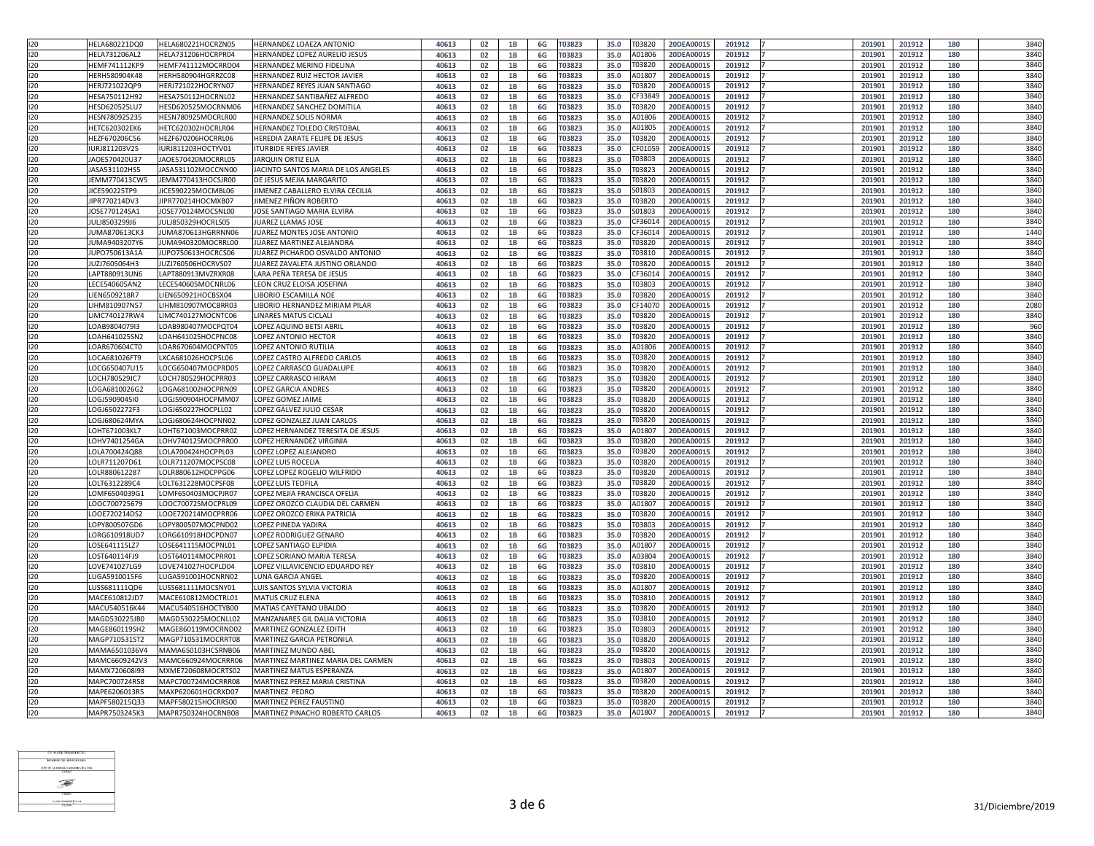| 120               | HELA680221DQ0        | HELA680221HOCRZN05 | HERNANDEZ LOAEZA ANTONIO            | 40613 | 02        |                | 6G  | T03823        | 35.0 | T03820         | 20DEA0001S | 201912 | 201901 | 201912 | 180 | 3840 |
|-------------------|----------------------|--------------------|-------------------------------------|-------|-----------|----------------|-----|---------------|------|----------------|------------|--------|--------|--------|-----|------|
| 120               | <b>HELA731206AL2</b> | HELA731206HOCRPR04 | HERNANDEZ LOPEZ AURELIO JESUS       | 40613 | 02        |                | 6G  | T03823        | 35.0 | A01806         | 20DEA0001S | 201912 | 201901 | 201912 | 180 | 3840 |
|                   |                      |                    |                                     |       |           |                |     |               |      |                |            |        |        |        |     |      |
| 120               | HEMF741112KP9        | HEMF741112MOCRRD04 | HERNANDEZ MERINO FIDELINA           | 40613 | 02        | 1B             | 6G  | T03823        | 35.0 | T03820         | 20DEA0001S | 201912 | 201901 | 201912 | 180 | 3840 |
| 120               | HERH580904K48        | HERH580904HGRRZC08 | HERNANDEZ RUIZ HECTOR JAVIER        | 40613 | 02        | 1B             | 6G  | T03823        | 35.0 | A01807         | 20DEA0001S | 201912 | 201901 | 201912 | 180 | 3840 |
| 120               | HERJ721022QP9        | HERJ721022HOCRYN07 | HERNANDEZ REYES JUAN SANTIAGO       | 40613 | 02        | <b>1B</b>      | 6G  | <b>ГОЗ823</b> | 35.0 | Г0382          | 20DEA0001S | 201912 | 20190  | 201912 | 180 | 3840 |
| 120               | HESA750112H92        | HESA750112HOCRNL02 | HERNANDEZ SANTIBAÑEZ ALFREDO        | 40613 | 02        | 1B             | 6G  | <b>ГОЗ823</b> | 35.0 | CF3384         | 20DEA0001S | 201912 | 201901 | 201912 | 180 | 3840 |
| 120               | HESD620525LU7        | HESD620525MOCRNM06 | HERNANDEZ SANCHEZ DOMITILA          | 40613 | 02        | 1 <sub>B</sub> | 6G  | 03823         | 35.0 | <b>Г</b> 0382  | 20DEA0001S | 201912 | 20190  | 201912 | 180 | 3840 |
|                   | HESN780925235        | HESN780925MOCRLR00 |                                     |       |           |                |     |               |      |                | 20DEA0001S |        | 20190  |        |     | 3840 |
| 120               |                      |                    | <b>HERNANDEZ SOLIS NORMA</b>        | 40613 | 02        |                | 6G  | <b>ГОЗ823</b> | 35.0 | 401806         |            | 201912 |        | 201912 | 180 |      |
| 120               | HETC620302EK6        | HETC620302HOCRLR04 | HERNANDEZ TOLEDO CRISTOBAL          | 40613 | 02        |                | 6G  | T03823        | 35.0 | A01805         | 20DEA0001S | 201912 | 201901 | 201912 | 180 | 3840 |
| 120               | HEZF670206C56        | HEZF670206HOCRRL06 | HEREDIA ZARATE FELIPE DE JESUS      | 40613 | 02        | 1B             | 6G  | <b>ГОЗ823</b> | 35.0 | Г0382(         | 20DEA0001S | 201912 | 201901 | 201912 | 180 | 3840 |
| 120               | IURJ811203V25        | IURJ811203HOCTYV01 | <b>TURBIDE REYES JAVIER</b>         | 40613 | 02        |                | 6G  | <b>ГОЗ823</b> | 35.0 | CF0105         | 20DEA0001S | 201912 | 20190  | 201912 | 180 | 3840 |
| 120               | JAOE570420U37        | JAOE570420MOCRRL05 | <b>JARQUIN ORTIZ ELIA</b>           | 40613 | 02        | 1 <sub>B</sub> | 6G  | T03823        | 35.0 | T03803         | 20DEA0001S | 201912 | 201901 | 201912 | 180 | 3840 |
| 120               | JASA531102HS5        | JASA531102MOCCNN00 | JACINTO SANTOS MARIA DE LOS ANGELES | 40613 | 02        | 1B             | 6G  | <b>ГОЗ823</b> | 35.0 | T0382          | 20DEA0001S | 201912 | 20190  | 201912 | 180 | 3840 |
|                   |                      | JEMM770413HOCSJR00 | DE JESUS MEJIA MARGARITO            |       |           |                |     |               |      |                | 20DEA0001S |        |        |        |     | 3840 |
| 120               | JEMM770413CW5        |                    |                                     | 40613 | 02        | 1B             | 6G  | <b>ГОЗ823</b> | 35.0 | T0382          |            | 201912 | 201901 | 201912 | 180 |      |
| 120               | JICE590225TP9        | JICE590225MOCMBL06 | JIMENEZ CABALLERO ELVIRA CECILIA    | 40613 | 02        |                | 6G  | <b>ГОЗ823</b> | 35.0 | 601803         | 20DEA0001S | 201912 | 20190  | 201912 | 180 | 3840 |
| 120               | JIPR770214DV3        | JIPR770214HOCMXB07 | JIMENEZ PIÑON ROBERTO               | 40613 | 02        | 1B             | 6G  | T03823        | 35.0 | T03820         | 20DEA0001S | 201912 | 201901 | 201912 | 180 | 3840 |
| 120               | JOSE770124SA1        | JOSE770124MOCSNL00 | JOSE SANTIAGO MARIA ELVIRA          | 40613 | 02        | 1 <sub>B</sub> | 6G  | <b>ГОЗ823</b> | 35.0 | 501803         | 20DEA0001S | 201912 | 201901 | 201912 | 180 | 3840 |
| 120               | JULJ8503299J6        | JULJ850329HOCRLS05 | <b>JUAREZ LLAMAS JOSE</b>           | 40613 | 02        |                | 6G  | <b>ГОЗ823</b> | 35.0 | CF3601         | 20DEA0001S | 201912 | 201901 | 201912 | 180 | 3840 |
| 120               | JUMA870613CK3        | JUMA870613HGRRNN06 | JUAREZ MONTES JOSE ANTONIO          | 40613 | 02        | <b>1B</b>      | 6G  | T03823        | 35.0 | CF360:         | 20DEA0001S | 201912 | 201901 | 201912 | 180 | 1440 |
|                   | JUMA9403207Y6        | JUMA940320MOCRRL00 | <b>JUAREZ MARTINEZ ALEJANDRA</b>    | 40613 |           |                |     | <b>ГОЗ823</b> | 35.0 | T03820         | 20DEA00019 | 201912 | 201901 | 201912 |     | 3840 |
| 120               |                      |                    |                                     |       | 02        | 1B             | 6G  |               |      |                |            |        |        |        | 180 |      |
| 120               | JUPO750613A1A        | JUPO750613HOCRCS06 | JUAREZ PICHARDO OSVALDO ANTONIO     | 40613 | 02        |                | 6G  | 03823         | 35.0 | T0381          | 20DEA0001S | 201912 | 201901 | 201912 | 180 | 3840 |
| 120               | JUZJ7605064H3        | JUZJ760506HOCRVS07 | JUAREZ ZAVALETA JUSTINO ORLANDO     | 40613 | 02        |                | 6G  | T03823        | 35.0 | T03820         | 20DEA0001S | 201912 | 20190  | 201912 | 180 | 3840 |
| 120               | LAPT880913UN6        | LAPT880913MVZRXR08 | LARA PEÑA TERESA DE JESUS           | 40613 | 02        |                | 6G  | T03823        | 35.0 | CF360:         | 20DEA0001S | 201912 | 201901 | 201912 | 180 | 3840 |
| 120               | LECE540605AN2        | LECE540605MOCNRL06 | LEON CRUZ ELOISA JOSEFINA           | 40613 | 02        | 1 <sub>B</sub> | 6G  | <b>ГОЗ823</b> | 35.0 | <b>ГОЗ8О</b> Э | 20DEA0001S | 201912 | 201901 | 201912 | 180 | 3840 |
| 120               | IEN6509218R7         | LIEN650921HOCBSX04 | LIBORIO ESCAMILLA NOE               | 40613 | 02        |                | 6G  | <b>ГОЗ823</b> | 35.0 | T0382          | 20DEA0001S | 201912 | 201901 | 201912 | 180 | 3840 |
|                   |                      |                    |                                     |       |           |                |     |               |      |                |            |        |        |        |     |      |
| 120               | LIHM810907N57        | LIHM810907MOCBRR03 | LIBORIO HERNANDEZ MIRIAM PILAR      | 40613 | 02        | <b>1B</b>      | 6G  | <b>ГОЗ823</b> | 35.0 | CF140          | 20DEA0001S | 201912 | 20190  | 201912 | 180 | 2080 |
| 120               | LIMC740127RW4        | LIMC740127MOCNTC06 | <b>LINARES MATUS CICLALI</b>        | 40613 | 02        | 1B             | 6G  | <b>ГОЗ823</b> | 35.0 | T03820         | 20DEA0001S | 201912 | 20190  | 201912 | 180 | 3840 |
| 120               | LOAB9804079I3        | LOAB980407MOCPQT04 | LOPEZ AQUINO BETSI ABRIL            | 40613 | 02        |                | 6G  | <b>ГОЗ823</b> | 35.0 | T03820         | 20DEA0001S | 201912 | 201901 | 201912 | 180 | 960  |
| 120               | LOAH641025SN2        | LOAH641025HOCPNC08 | LOPEZ ANTONIO HECTOR                | 40613 | 02        | 1B             | 6G  | T03823        | 35.0 | Г0382(         | 20DEA0001S | 201912 | 201901 | 201912 | 180 | 3840 |
| 120               | LOAR670604CT0        | LOAR670604MOCPNT05 | LOPEZ ANTONIO RUTILIA               | 40613 | 02        |                | 6G  | <b>ГОЗ823</b> | 35.0 | A01806         | 20DEA0001S | 201912 | 201901 | 201912 | 180 | 3840 |
| 120               | LOCA681026FT9        | LXCA681026HOCPSL06 | LOPEZ CASTRO ALFREDO CARLOS         | 40613 | <b>02</b> | <b>1R</b>      | 6G. | T03823        | 35.0 | T03820         | 20DEA0001S | 201912 | 201901 | 201912 | 180 | 3840 |
| 120               |                      |                    |                                     |       |           |                |     |               |      |                |            |        |        |        |     | 3840 |
|                   | LOCG650407U15        | LOCG650407MOCPRD05 | LOPEZ CARRASCO GUADALUPE            | 40613 | 02        | 1B             | 6G  | <b>ГОЗ823</b> | 35.0 | T03820         | 20DEA0001S | 201912 | 20190  | 201912 | 180 |      |
| 120               | LOCH780529JC7        | LOCH780529HOCPRR03 | LOPEZ CARRASCO HIRAM                | 40613 | 02        |                | 6G  | <b>ГОЗ823</b> | 35.0 | T0382          | 20DEA0001S | 201912 | 20190  | 201912 | 180 | 3840 |
| 120               | LOGA6810026G2        | LOGA681002HOCPRN09 | LOPEZ GARCIA ANDRES                 | 40613 | 02        | 1B             | 6G  | <b>ГОЗ823</b> | 35.0 | T03820         | 20DEA0001S | 201912 | 20190  | 201912 | 180 | 3840 |
| 120               | LOGJ5909045I0        | LOGJ590904HOCPMM07 | LOPEZ GOMEZ JAIME                   | 40613 | 02        |                | 6G  | T03823        | 35.0 | T03820         | 20DEA0001S | 201912 | 201901 | 201912 | 180 | 3840 |
| 120               | LOGJ6502272F3        | LOGJ650227HOCPLL02 | LOPEZ GALVEZ JULIO CESAR            | 40613 | 02        | 1B             | 6G  | T03823        | 35.0 | T03820         | 20DEA0001S | 201912 | 201901 | 201912 | 180 | 3840 |
| 120               | LOGJ680624MYA        | LOGJ680624HOCPNN02 | LOPEZ GONZALEZ JUAN CARLOS          | 40613 | 02        | 1B             | 6G  | <b>ГОЗ823</b> | 35.0 | T0382          | 20DEA0001S | 201912 | 201901 | 201912 | 180 | 3840 |
|                   |                      | LOHT671003MOCPRR02 |                                     |       |           | 1 <sub>R</sub> |     |               |      |                |            |        |        |        |     | 3840 |
| 120               | LOHT671003KL7        |                    | LOPEZ HERNANDEZ TERESITA DE JESUS   | 40613 | 02        |                | 6G  | <b>ГОЗ823</b> | 35.0 | A0180          | 20DEA0001S | 201912 | 201901 | 201912 | 180 |      |
| 120               | LOHV7401254GA        | LOHV740125MOCPRR00 | LOPEZ HERNANDEZ VIRGINIA            | 40613 | 02        | 1B             | 6G  | <b>ГОЗ823</b> | 35.0 | T0382          | 20DEA0001S | 201912 | 20190  | 201912 | 180 | 3840 |
| $\overline{120}$  | LOLA700424Q88        | LOLA700424HOCPPL03 | LOPEZ LOPEZ ALEJANDRO               | 40613 | 02        |                | 6G  | <b>ГОЗ823</b> | 35.0 | T0382          | 20DEA0001S | 201912 | 201901 | 201912 | 180 | 3840 |
| 120               | LOLR711207D61        | LOLR711207MOCPSC08 | <b>LOPEZ LUIS ROCELIA</b>           | 40613 | 02        | 1B             | 6G  | <b>ГОЗ823</b> | 35.0 | T03820         | 20DEA0001S | 201912 | 20190  | 201912 | 180 | 3840 |
| 120               | LOLR880612287        | LOLR880612HOCPPG06 | LOPEZ LOPEZ ROGELIO WILFRIDO        | 40613 | 02        |                | 6G  | <b>ГОЗ823</b> | 35.0 | T0382          | 20DEA0001S | 201912 | 201901 | 201912 | 180 | 3840 |
| 120               | LOLT6312289C4        | LOLT631228MOCPSF08 | LOPEZ LUIS TEOFILA                  | 40613 | 02        | 1 <sub>B</sub> | 6G  | T03823        | 35.0 | <b>Г</b> 0382  | 20DEA0001S | 201912 | 201901 | 201912 | 180 | 3840 |
|                   |                      |                    |                                     |       |           |                |     |               |      | T0382          |            |        |        |        |     | 3840 |
| 120               | LOMF6504039G1        | LOMF650403MOCPJR07 | LOPEZ MEJIA FRANCISCA OFELIA        | 40613 | 02        |                | 6G  | <b>ГОЗ823</b> | 35.0 |                | 20DEA0001S | 201912 | 201901 | 201912 | 180 |      |
| 120               | LOOC700725679        | LOOC700725MOCPRL09 | LOPEZ OROZCO CLAUDIA DEL CARMEN     | 40613 | 02        | 1 <sub>R</sub> | 6G  | <b>ГОЗ823</b> | 35.0 | A0180          | 20DEA0001S | 201912 | 201901 | 201912 | 180 | 3840 |
| 120               | LOOE720214DS2        | LOOE720214MOCPRR06 | LOPEZ OROZCO ERIKA PATRICIA         | 40613 | 02        |                | 6G  | <b>ГОЗ823</b> | 35.0 | T0382          | 20DEA0001S | 201912 | 20190  | 201912 | 180 | 3840 |
| 120               | LOPY800507GD6        | LOPY800507MOCPND02 | <b>LOPEZ PINEDA YADIRA</b>          | 40613 | 02        |                | 6G  | 03823         | 35.0 | T03803         | 20DEA0001S | 201912 | 20190  | 201912 | 180 | 3840 |
| 120               | LORG610918UD7        | LORG610918HOCPDN07 | LOPEZ RODRIGUEZ GENARO              | 40613 | 02        |                | 6G  | T03823        | 35.0 | T03820         | 20DEA0001S | 201912 | 201901 | 201912 | 180 | 3840 |
| 120               | LOSE641115LZ7        | LOSE641115MOCPNL01 | LOPEZ SANTIAGO ELPIDIA              | 40613 | 02        |                | 6G  | T03823        | 35.0 | A0180          | 20DEA0001S | 201912 | 201901 | 201912 | 180 | 3840 |
| 120               | LOST640114FJ9        | LOST640114MOCPRR01 | LOPEZ SORIANO MARIA TERESA          | 40613 | 02        | 1B             | 6G  | T03823        | 35.0 | A03804         | 20DEA0001S | 201912 | 201901 | 201912 | 180 | 3840 |
|                   |                      |                    |                                     |       |           |                |     |               |      |                |            |        |        |        |     | 3840 |
| 120               | LOVE741027LG9        | LOVE741027HOCPLD04 | LOPEZ VILLAVICENCIO EDUARDO REY     | 40613 | 02        | 1B             | 6G  | <b>ГОЗ823</b> | 35.0 | Г0381          | 20DEA0001S | 201912 | 20190  | 201912 | 180 |      |
| 120               | LUGA5910015F6        | LUGA591001HOCNRN02 | LUNA GARCIA ANGEL                   | 40613 | 02        | 1 <sub>B</sub> | 6G  | <b>ГОЗ823</b> | 35.0 | T0382          | 20DEA0001S | 201912 | 201901 | 201912 | 180 | 3840 |
| 120               | LUSS681111QD6        | LUSS681111MOCSNY01 | LUIS SANTOS SYLVIA VICTORIA         | 40613 | 02        | 1B             | 6G  | <b>ГОЗ823</b> | 35.0 | 40180          | 20DEA0001S | 201912 | 20190  | 201912 | 180 | 3840 |
| 120               | MACE610812JD7        | MACE610812MOCTRL01 | <b>MATUS CRUZ ELENA</b>             | 40613 | 02        |                | 6G  | <b>ГОЗ823</b> | 35.0 | T03810         | 20DEA0001S | 201912 | 201901 | 201912 | 180 | 3840 |
| 120               | MACU540516K44        | MACU540516HOCTYB00 | MATIAS CAYETANO UBALDO              | 40613 | 02        |                | 6G  | T03823        | 35.0 | T03820         | 20DEA0001S | 201912 | 201901 | 201912 | 180 | 3840 |
| 120               | MAGD530225JB0        | MAGD530225MOCNLL02 | MANZANARES GIL DALIA VICTORIA       | 40613 | 02        | 1B             | 6G  | <b>ГОЗ823</b> | 35.0 | T0381          | 20DEA0001S | 201912 | 201901 | 201912 | 180 | 3840 |
|                   |                      |                    |                                     |       |           |                |     |               |      |                |            |        |        |        |     |      |
| 120               | MAGE860119SH2        | MAGE860119MOCRND02 | MARTINEZ GONZALEZ EDITH             | 40613 | 02        | 1 <sub>B</sub> | 6G  | <b>ГОЗ823</b> | 35.0 | T03803         | 20DEA0001S | 201912 | 20190  | 201912 | 180 | 3840 |
| 120               | MAGP710531ST2        | MAGP710531MOCRRT08 | <b>MARTINEZ GARCIA PETRONILA</b>    | 40613 | 02        |                | 6G  | <b>ГОЗ823</b> | 35.0 | T0382          | 20DEA0001S | 201912 | 20190  | 201912 | 180 | 3840 |
| 120               | MAMA6501036V4        | MAMA650103HCSRNB06 | MARTINEZ MUNDO ABEL                 | 40613 | 02        | 1 <sub>B</sub> | 6G  | <b>ГОЗ823</b> | 35.0 | T0382          | 20DEA0001S | 201912 | 20190  | 201912 | 180 | 3840 |
| 120               | MAMC6609242V3        | MAMC660924MOCRRR06 | MARTINEZ MARTINEZ MARIA DEL CARMEN  | 40613 | 02        |                | 6G  | <b>ГОЗ823</b> | 35.0 | <b>ГОЗ803</b>  | 20DEA0001S | 201912 | 20190  | 201912 | 180 | 3840 |
| 120               | MAMX720608I93        | MXME720608MOCRTS02 | MARTINEZ MATUS ESPERANZA            | 40613 | 02        |                | 6G  | <b>ГОЗ823</b> | 35.0 | A0180          | 20DEA0001S | 201912 | 20190  | 201912 | 180 | 3840 |
|                   | MAPC700724R58        | MAPC700724MOCRRR08 | MARTINEZ PEREZ MARIA CRISTINA       | 40613 | 02        | 1 R            | 6G  | T03823        | 35.0 | T03820         | 20DEA0001S | 201912 | 201901 | 201912 | 180 | 3840 |
| $\frac{120}{120}$ |                      |                    |                                     |       | ◡▃        | --             |     |               |      |                |            |        |        |        |     |      |
|                   | MAPE6206013R5        | MAXP620601HOCRXD07 | MARTINEZ PEDRO                      | 40613 | 02        | <b>1B</b>      | 6G  | T03823        | 35.0 | T03820         | 20DEA0001S | 201912 | 201901 | 201912 | 180 | 3840 |
| 120               | MAPF580215Q33        | MAPF580215HOCRRS00 | MARTINEZ PEREZ FAUSTINO             | 40613 | 02        | 1B             | 6G  | T03823        | 35.0 | T03820         | 20DEA0001S | 201912 | 201901 | 201912 | 180 | 3840 |
| 120               | MAPR7503245K3        | MAPR750324HOCRNB08 | MARTINEZ PINACHO ROBERTO CARLOS     | 40613 | 02        | <b>1B</b>      | 6G  | T03823        | 35.0 | A01807         | 20DEA0001S | 201912 | 201901 | 201912 | 180 | 3840 |

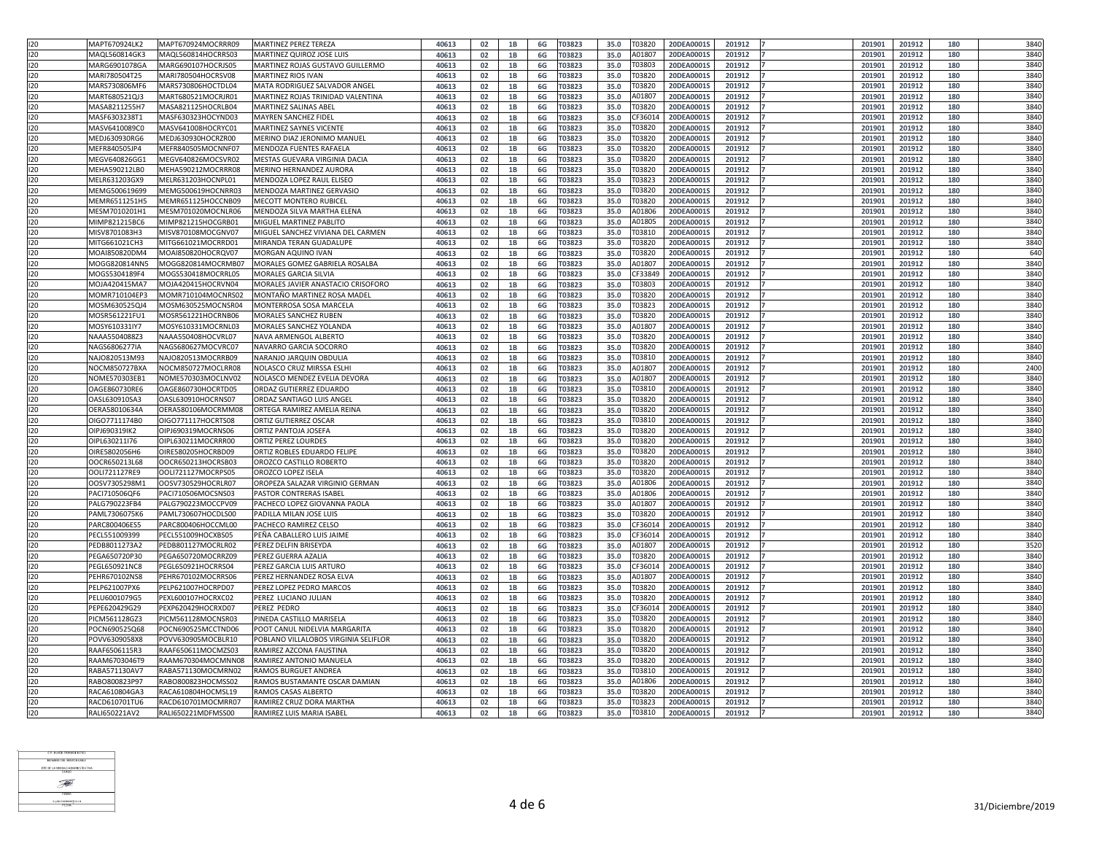| 120 | MAPT670924LK2 | MAPT670924MOCRRR09 | <b>MARTINEZ PEREZ TEREZA</b>         | 40613 | 02             |                | 6G     | <b>ГОЗ823</b> | 35.0 | T0382         | 20DEA0001S                        | 201912 | 201901 | 201912          | 180 | 3840 |
|-----|---------------|--------------------|--------------------------------------|-------|----------------|----------------|--------|---------------|------|---------------|-----------------------------------|--------|--------|-----------------|-----|------|
|     |               |                    |                                      |       |                |                |        |               |      |               |                                   |        |        |                 |     |      |
| 120 | MAQL560814GK3 | MAQL560814HOCRRS03 | MARTINEZ QUIROZ JOSE LUIS            | 40613 | 02             |                | 6G     | <b>ГОЗ823</b> | 35.0 | A0180         | 20DEA0001S                        | 201912 | 20190  | 201912          | 180 | 3840 |
| 120 | MARG6901078GA | MARG690107HOCRJS05 | MARTINEZ ROJAS GUSTAVO GUILLERMO     | 40613 | 02             |                | 6G     | <b>ГОЗ823</b> | 35.0 | T03803        | 20DEA0001S                        | 201912 | 20190  | 201912          | 180 | 3840 |
| 120 | MARI780504T25 | MARI780504HOCRSV08 | <b>MARTINEZ RIOS IVAN</b>            | 40613 | 02             |                | 6G     | T03823        | 35.0 | T03820        | 20DEA0001S                        | 201912 | 201901 | 201912          | 180 | 3840 |
| 120 | MARS730806MF6 | MARS730806HOCTDL04 | MATA RODRIGUEZ SALVADOR ANGEL        | 40613 |                | 1B             |        | T03823        | 35.0 | Г0382         | 20DEA0001S                        | 201912 | 201901 | 201912          | 180 | 3840 |
|     |               |                    |                                      |       | 02             |                | 6G     |               |      |               |                                   |        |        |                 |     |      |
| 120 | MART680521QJ3 | MART680521MOCRJR01 | MARTINEZ ROJAS TRINIDAD VALENTINA    | 40613 | 02             |                | 6G     | <b>ГОЗ823</b> | 35.0 | A0180         | 20DEA0001S                        | 201912 | 201901 | 201912          | 180 | 3840 |
| 120 | MASA8211255H7 | MASA821125HOCRLB04 | <b>MARTINEZ SALINAS ABEL</b>         | 40613 | 02             | 1 <sub>R</sub> | 6G     | <b>ГОЗ823</b> | 35.0 | T0382         | 20DEA0001S                        | 201912 | 201901 | 201912          | 180 | 3840 |
| 120 | MASF6303238T1 | MASF630323HOCYND03 | <b>MAYREN SANCHEZ FIDEL</b>          | 40613 | 02             |                | 6G     | <b>ГОЗ823</b> | 35.0 | CF360:        | 20DEA0001S                        | 201912 | 20190  | 201912          | 180 | 3840 |
| 120 | MASV6410089C0 | MASV641008HOCRYC01 | <b>MARTINEZ SAYNES VICENTE</b>       | 40613 | 02             | 1B             | 6G     | <b>ГОЗ823</b> | 35.0 | T03820        | 20DEA0001S                        | 201912 | 201901 | 201912          | 180 | 3840 |
|     |               |                    |                                      |       |                |                |        |               |      |               |                                   |        |        |                 |     |      |
| 120 | MEDJ630930RG6 | MEDJ630930HOCRZR00 | MERINO DIAZ JERONIMO MANUEL          | 40613 | 02             |                | 6G     | <b>ГОЗ823</b> | 35.0 | T03820        | 20DEA0001S                        | 201912 | 201901 | 201912          | 180 | 3840 |
| 120 | MEFR840505JP4 | MEFR840505MOCNNF07 | MENDOZA FUENTES RAFAELA              | 40613 | 02             |                | 6G     | T03823        | 35.0 | T0382         | 20DEA0001S                        | 201912 | 201901 | 201912          | 180 | 3840 |
| 120 | MEGV640826GG1 | MEGV640826MOCSVR02 | MESTAS GUEVARA VIRGINIA DACIA        | 40613 | 02             | 1 <sub>B</sub> | 6G     | T03823        | 35.0 | T03820        | 20DEA0001S                        | 201912 | 201901 | 201912          | 180 | 3840 |
| 120 | MEHA590212LB0 | MEHA590212MOCRRR08 | MERINO HERNANDEZ AURORA              | 40613 | 02             |                | 6G     | <b>ГОЗ823</b> | 35.0 | T0382         | 20DEA0001S                        | 201912 | 20190  | 201912          | 180 | 3840 |
|     |               |                    |                                      |       |                |                |        |               |      |               |                                   |        |        |                 |     | 3840 |
| 120 | MELR631203GX9 | MELR631203HOCNPL01 | MENDOZA LOPEZ RAUL ELISEO            | 40613 | 02             | <b>1B</b>      | 6G     | T03823        | 35.0 | Г0382         | 20DEA0001S                        | 201912 | 201901 | 201912          | 180 |      |
| 120 | MEMG500619699 | MEMG500619HOCNRR03 | MENDOZA MARTINEZ GERVASIO            | 40613 | 02             | 1B             | 6G     | <b>ГОЗ823</b> | 35.0 | T0382         | 20DEA0001S                        | 201912 | 20190  | 201912          | 180 | 3840 |
| 120 | MEMR6511251H5 | MEMR651125HOCCNB09 | MECOTT MONTERO RUBICEL               | 40613 | 02             |                | 6G     | 03823         | 35.0 | T03820        | 20DEA0001S                        | 201912 | 20190  | 201912          | 180 | 3840 |
| 120 | MESM7010201H1 | MESM701020MOCNLR06 | MENDOZA SILVA MARTHA ELENA           | 40613 | 02             |                | 6G     | T03823        | 35.0 | A01806        | 20DEA0001S                        | 201912 | 201901 | 201912          | 180 | 3840 |
| 120 | MIMP821215BC6 | MIMP821215HOCGRB01 | MIGUEL MARTINEZ PABLITO              | 40613 | 02             |                | 6G     | T03823        | 35.0 | A01805        | 20DEA0001S                        | 201912 | 201901 | 201912          | 180 | 3840 |
|     |               |                    |                                      |       |                |                |        |               |      |               |                                   |        |        |                 |     |      |
| 120 | MISV8701083H3 | MISV870108MOCGNV07 | MIGUEL SANCHEZ VIVIANA DEL CARMEN    | 40613 | 02             | 1B             | 6G     | T03823        | 35.0 | Г0381         | 20DEA0001S                        | 201912 | 201901 | 201912          | 180 | 3840 |
| 120 | MITG661021CH3 | MITG661021MOCRRD01 | MIRANDA TERAN GUADALUPE              | 40613 | 02             |                | 6G     | <b>ГОЗ823</b> | 35.0 | T0382         | 20DEA0001S                        | 201912 | 20190  | 201912          | 180 | 3840 |
| 120 | MOAI850820DM4 | MOAI850820HOCRQV07 | MORGAN AQUINO IVAN                   | 40613 | 02             | <b>1B</b>      | 6G     | <b>ГОЗ823</b> | 35.0 | T0382         | 20DEA0001S                        | 201912 | 20190  | 201912          | 180 | 640  |
| 120 | MOGG820814NN5 | MOGG820814MOCRMB07 | MORALES GOMEZ GABRIELA ROSALBA       | 40613 | 02             | 1B             | 6G     | 03823         | 35.0 | A0180         | 20DEA0001S                        | 201912 | 201901 | 201912          | 180 | 3840 |
| 120 | MOGS5304189F4 | MOGS530418MOCRRL05 | <b>MORALES GARCIA SILVIA</b>         | 40613 |                |                |        | <b>ГОЗ823</b> | 35.0 | CF3384        | 20DEA0001S                        | 201912 | 201901 | 201912          | 180 | 3840 |
|     |               |                    |                                      |       | 02             |                | 6G     |               |      |               |                                   |        |        |                 |     |      |
| 120 | MOJA420415MA7 | MOJA420415HOCRVN04 | MORALES JAVIER ANASTACIO CRISOFORO   | 40613 | 02             | 1B             | 6G     | T03823        | 35.0 | <b>ГОЗ8ОЗ</b> | 20DEA0001S                        | 201912 | 201901 | 201912          | 180 | 3840 |
| 120 | MOMR710104EP3 | MOMR710104MOCNRS02 | MONTAÑO MARTINEZ ROSA MADEL          | 40613 | 02             | 1B             | 6G     | <b>ГОЗ823</b> | 35.0 | T0382         | 20DEA0001S                        | 201912 | 201901 | 201912          | 180 | 3840 |
| 120 | MOSM630525QJ4 | MOSM630525MOCNSR04 | MONTERROSA SOSA MARCELA              | 40613 | 02             | 1 <sub>B</sub> | 6G     | T03823        | 35.0 | T03823        | 20DEA0001S                        | 201912 | 201901 | 201912          | 180 | 3840 |
| 120 | MOSR561221FU1 | MOSR561221HOCRNB06 | <b>MORALES SANCHEZ RUBEN</b>         | 40613 | 02             |                | 6G     | T03823        | 35.0 | T0382         | 20DEA0001S                        | 201912 | 20190  | 201912          | 180 | 3840 |
| 120 | MOSY610331IY7 | MOSY610331MOCRNL03 | <b>MORALES SANCHEZ YOLANDA</b>       | 40613 | 02             | <b>1B</b>      | 6G     | <b>ГОЗ823</b> | 35.0 | A0180         | 20DEA0001S                        | 201912 | 201901 | 201912          | 180 | 3840 |
|     |               |                    |                                      |       |                |                |        |               |      |               |                                   |        |        |                 |     |      |
| 120 | NAAA5504088Z3 | NAAA550408HOCVRL07 | <b>NAVA ARMENGOL ALBERTO</b>         | 40613 | 02             |                | 6G     | 03823         | 35.0 | T03820        | 20DEA0001S                        | 201912 | 20190  | 201912          | 180 | 3840 |
| 120 | NAGS6806277IA | NAGS680627MOCVRC07 | NAVARRO GARCIA SOCORRO               | 40613 | 02             |                | 6G     | <b>ГОЗ823</b> | 35.0 | <b>Г</b> 0382 | 20DEA0001S                        | 201912 | 20190  | 201912          | 180 | 3840 |
| 120 | NAJO820513M93 | NAJO820513MOCRRB09 | NARANJO JARQUIN OBDULIA              | 40613 | 02             | 1 R<br>--      | 6G     | T03823        | 35.0 | T03810        | 20DEA0001S<br>$-0$ $-1$ $-0$ $-0$ | 201912 | 201901 | 201912<br>----- | 180 | 3840 |
| 120 | NOCM850727BXA | NOCM850727MOCLRR08 | NOLASCO CRUZ MIRSSA ESLHI            | 40613 | 02             | 1B             | 6G     | T03823        | 35.0 | A01807        | 20DEA0001S                        | 201912 | 201901 | 201912          | 180 | 2400 |
| 120 | NOME570303EB1 | NOME570303MOCLNV02 | NOLASCO MENDEZ EVELIA DEVORA         | 40613 | 02             | 1 <sub>R</sub> | 6G     | <b>ГОЗ823</b> | 35.0 | A0180         | 20DEA0001S                        | 201912 | 201901 | 201912          | 180 | 3840 |
| 120 | OAGE860730RE6 | OAGE860730HOCRTD05 | ORDAZ GUTIERREZ EDUARDO              | 40613 | 02             | 1B             | 6G     | <b>ГОЗ823</b> | 35.0 | T0381         | 20DEA0001S                        | 201912 | 201901 | 201912          | 180 | 3840 |
|     |               |                    |                                      |       |                |                |        |               |      |               |                                   |        |        |                 |     |      |
| 120 | OASL630910SA3 | OASL630910HOCRNS07 | ORDAZ SANTIAGO LUIS ANGEL            | 40613 | 02             | 1B             | 6G     | <b>ГОЗ823</b> | 35.0 | T03820        | 20DEA0001S                        | 201912 | 201901 | 201912          | 180 | 3840 |
| 120 | OERA58010634A | OERA580106MOCRMM08 | ORTEGA RAMIREZ AMELIA REINA          | 40613 | 02             | 1B             | 6G     | <b>ГОЗ823</b> | 35.0 | T03820        | 20DEA0001S                        | 201912 | 20190  | 201912          | 180 | 3840 |
| 120 | OIGO7711174B0 | OIGO771117HOCRTS08 | <b>ORTIZ GUTIERREZ OSCAR</b>         | 40613 | 02             |                | 6G     | T03823        | 35.0 | T0381         | 20DEA0001S                        | 201912 | 201901 | 201912          | 180 | 3840 |
| 120 | OIPJ690319IK2 | OIPJ690319MOCRNS06 | <b>ORTIZ PANTOJA JOSEFA</b>          | 40613 | 02             | 1B             | 6G     | T03823        | 35.0 | T03820        | 20DEA0001S                        | 201912 | 201901 | 201912          | 180 | 3840 |
| 120 | OIPL630211I76 | OIPL630211MOCRRR00 | <b>ORTIZ PEREZ LOURDES</b>           | 40613 | 02             | 1B             | 6G     | <b>ГОЗ823</b> | 35.0 | T03820        | 20DEA0001S                        | 201912 | 201901 | 201912          | 180 | 3840 |
| 120 | OIRE5802056H6 | OIRE580205HOCRBD09 | ORTIZ ROBLES EDUARDO FELIPE          | 40613 | 02             |                | 6G     | T03823        | 35.0 | Г0382         | 20DEA0001S                        | 201912 | 201901 | 201912          | 180 | 3840 |
|     |               |                    |                                      |       |                |                |        |               |      |               |                                   |        |        |                 |     |      |
| 120 | OOCR650213L68 | OOCR650213HOCRSB03 | OROZCO CASTILLO ROBERTO              | 40613 | 02             | 1B             | 6G     | <b>ГОЗ823</b> | 35.0 | T0382         | 20DEA0001S                        | 201912 | 20190  | 201912          | 180 | 3840 |
| 120 | OOLI721127RE9 | OOLI721127MOCRPS05 | <b>OROZCO LOPEZ ISELA</b>            | 40613 | 02             |                | 6G     | 03823         | 35.0 | T03820        | 20DEA0001S                        | 201912 | 20190  | 201912          | 180 | 3840 |
| 120 | OOSV7305298M1 | OOSV730529HOCRLR07 | OROPEZA SALAZAR VIRGINIO GERMAN      | 40613 | 02             | 1B             | 6G     | T03823        | 35.0 | A01806        | 20DEA0001S                        | 201912 | 20190  | 201912          | 180 | 3840 |
| 120 | PACI710506QF6 | PACI710506MOCSNS03 | <b>PASTOR CONTRERAS ISABEL</b>       | 40613 | 02             | 1B             | 6G     | T03823        | 35.0 | A01806        | 20DEA0001S                        | 201912 | 201901 | 201912          | 180 | 3840 |
| 120 | PALG790223FB4 | PALG790223MOCCPV09 | PACHECO LOPEZ GIOVANNA PAOLA         | 40613 | 02             | 1B             | 6G     | T03823        | 35.0 | A0180         | 20DEA0001S                        | 201912 | 20190  | 201912          | 180 | 3840 |
|     |               |                    |                                      |       |                |                |        |               |      |               |                                   |        |        |                 |     |      |
| 120 | PAML7306075K6 | PAML730607HOCDLS00 | PADILLA MILAN JOSE LUIS              | 40613 | 02             | 1B             | 6G     | <b>ГОЗ823</b> | 35.0 | T0382         | 20DEA0001S                        | 201912 | 201901 | 201912          | 180 | 3840 |
| 120 | PARC800406ES5 | PARC800406HOCCML00 | PACHECO RAMIREZ CELSO                | 40613 | 02             | 1 <sub>B</sub> | 6G     | <b>ГОЗ823</b> | 35.0 | CF3601        | 20DEA0001S                        | 201912 | 201901 | 201912          | 180 | 3840 |
| 120 | PECL551009399 | PECL551009HOCXBS05 | PEÑA CABALLERO LUIS JAIME            | 40613 | 02             |                | 6G     | <b>ГОЗ823</b> | 35.0 | CF360:        | 20DEA0001S                        | 201912 | 20190  | 201912          | 180 | 3840 |
| 120 | PEDB8011273A2 | PEDB801127MOCRLR02 | PEREZ DELFIN BRISEYDA                | 40613 | 02             |                | 6G     | <b>ГОЗ823</b> | 35.0 | A0180         | 20DEA0001S                        | 201912 | 201901 | 201912          | 180 | 3520 |
| 120 | PEGA650720P30 | PEGA650720MOCRRZ09 | PEREZ GUERRA AZALIA                  | 40613 | 02             |                | 6G     | T03823        | 35.0 | T03820        | 20DEA0001S                        | 201912 | 201901 | 201912          | 180 | 3840 |
|     |               |                    |                                      |       |                |                |        |               |      |               |                                   |        |        |                 |     |      |
| 120 | PEGL650921NC8 | PEGL650921HOCRRS04 | PEREZ GARCIA LUIS ARTURO             | 40613 | 02             | 1B             | 6G     | T03823        | 35.0 | F3601         | 20DEA0001S                        | 201912 | 201901 | 201912          | 180 | 3840 |
| 120 | PEHR670102NS8 | PEHR670102MOCRRS06 | PEREZ HERNANDEZ ROSA ELVA            | 40613 | 02             | 1 <sub>B</sub> | 6G     | <b>ГОЗ823</b> | 35.0 | 40180         | 20DEA0001S                        | 201912 | 20190  | 201912          | 180 | 3840 |
| 120 | PELP621007PX6 | PELP621007HOCRPD07 | PEREZ LOPEZ PEDRO MARCOS             | 40613 | 02             | 1B             | 6G     | <b>ГОЗ823</b> | 35.0 | T03820        | 20DEA0001S                        | 201912 | 201901 | 201912          | 180 | 3840 |
| 120 | PELU6001079G5 | PEXL600107HOCRXC02 | PEREZ LUCIANO JULIAN                 | 40613 | 02             | <b>1R</b>      | 6G     | <b>ГОЗ823</b> | 35.0 | <b>Г</b> 0382 | 20DEA0001S                        | 201912 | 201901 | 201912          | 180 | 3840 |
| 120 | PEPE620429G29 | PEXP620429HOCRXD07 | PEREZ PEDRO                          | 40613 | 02             |                | 6G     | <b>ГОЗ823</b> | 35.0 | CF360         | 20DEA0001S                        | 201912 | 20190  | 201912          | 180 | 3840 |
| 120 | PICM561128GZ3 | PICM561128MOCNSR03 | PINEDA CASTILLO MARISELA             | 40613 | 02             |                |        | <b>ГОЗ823</b> | 35.0 | T0382         | 20DEA0001S                        | 201912 | 20190  | 201912          | 180 | 3840 |
|     |               |                    |                                      |       |                |                | 6G     |               |      |               |                                   |        |        |                 |     |      |
| 120 | POCN690525Q68 | POCN690525MCCTND06 | POOT CANUL NIDELVIA MARGARITA        | 40613 | 02             | 1B             | 6G     | T03823        | 35.0 | Г0382(        | 20DEA0001S                        | 201912 | 201901 | 201912          | 180 | 3840 |
| 120 | POVV6309058X8 | POVV630905MOCBLR10 | POBLANO VILLALOBOS VIRGINIA SELIFLOR | 40613 | 02             | 1B             | 6G     | T03823        | 35.0 | T0382         | 20DEA0001S                        | 201912 | 201901 | 201912          | 180 | 3840 |
| 120 | RAAF6506115R3 | RAAF650611MOCMZS03 | RAMIREZ AZCONA FAUSTINA              | 40613 | 02             |                | 6G     | <b>ГОЗ823</b> | 35.0 | T0382         | 20DEA0001S                        | 201912 | 20190  | 201912          | 180 | 3840 |
| 120 | RAAM6703046T9 | RAAM670304MOCMNN08 | RAMIREZ ANTONIO MANUELA              | 40613 | 02             | 1B             | 6G     | <b>ГОЗ823</b> | 35.0 | T03820        | 20DEA0001S                        | 201912 | 201901 | 201912          | 180 | 3840 |
| 120 | RABA571130AV7 | RABA571130MOCMRN02 | <b>RAMOS BURGUET ANDREA</b>          | 40613 | 02             |                | 6G     | <b>ГОЗ823</b> | 35.0 | Г0381         | 20DEA0001S                        | 201912 | 201901 | 201912          | 180 | 3840 |
| 120 | RABO800823P97 | RABO800823HOCMSS02 | RAMOS BUSTAMANTE OSCAR DAMIAN        | 40613 | n <sub>2</sub> | 1 <sub>R</sub> | 6G.    | T03823        | 35.0 |               | A01806 20DEA0001S                 | 201912 | 201901 | 201912          |     | 3840 |
| 120 |               |                    |                                      |       | $\mathsf{V}$   | ᅩ              | $\sim$ |               |      |               |                                   |        |        |                 | 180 |      |
|     | RACA610804GA3 | RACA610804HOCMSL19 | <b>RAMOS CASAS ALBERTO</b>           | 40613 | 02             | <b>1B</b>      | 6G     | T03823        | 35.0 | T03820        | 20DEA0001S                        | 201912 | 201901 | 201912          | 180 | 3840 |
| 120 | RACD610701TU6 | RACD610701MOCMRR07 | RAMIREZ CRUZ DORA MARTHA             | 40613 | 02             | 1B             | 6G     | T03823        | 35.0 | T03823        | 20DEA0001S                        | 201912 | 201901 | 201912          | 180 | 3840 |
| 120 | RALI650221AV2 | RALI650221MDFMSS00 | <b>RAMIREZ LUIS MARIA ISABEL</b>     | 40613 | 02             | <b>1B</b>      | 6G     | T03823        | 35.0 | T03810        | 20DEA0001S                        | 201912 | 201901 | 201912          | 180 | 3840 |

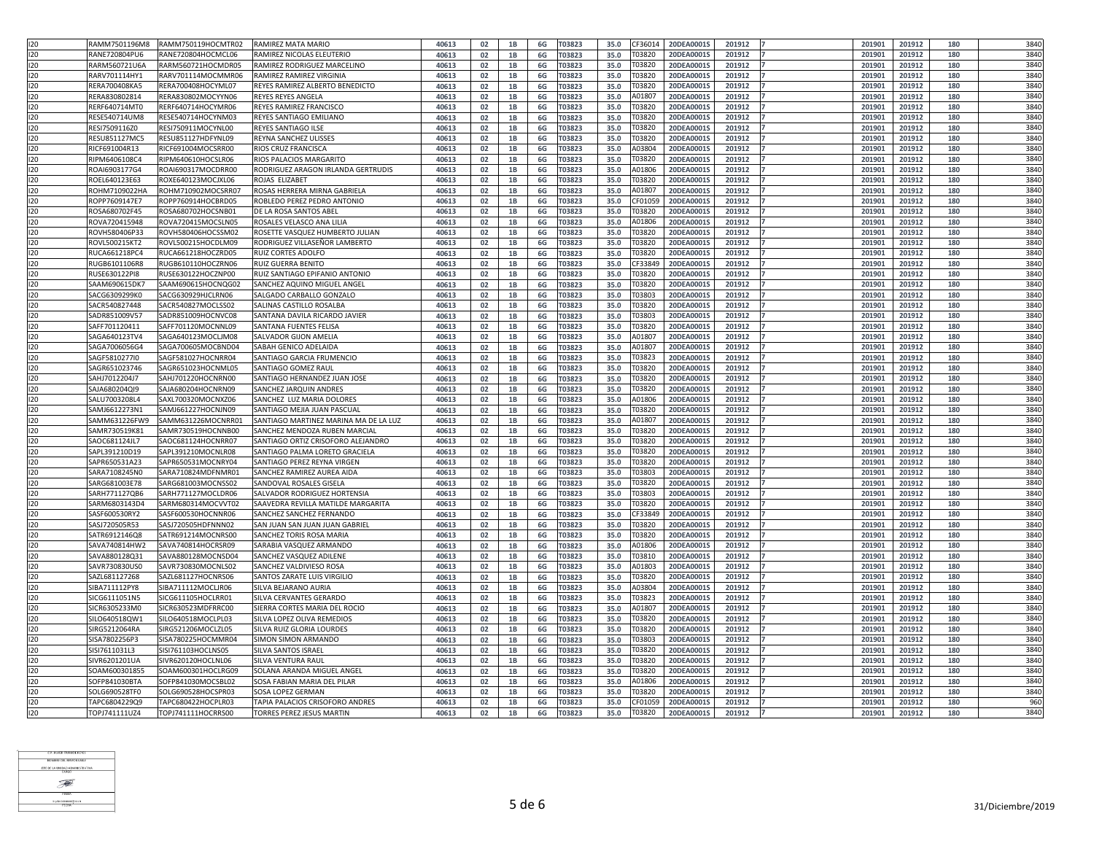| 120              | RAMM7501196M8 | RAMM750119HOCMTR02 | RAMIREZ MATA MARIO                    | 40613 | 02                   |                        | 6G        | T03823        | 35.0 | F360:        | 20DEA0001S               | 201912 | 20190  | 201912          | 180 | 3840 |
|------------------|---------------|--------------------|---------------------------------------|-------|----------------------|------------------------|-----------|---------------|------|--------------|--------------------------|--------|--------|-----------------|-----|------|
| 120              | RANE720804PU6 | RANE720804HOCMCL06 | RAMIREZ NICOLAS ELEUTERIO             | 40613 | 02                   | 1B                     | 6G        | T03823        | 35.0 | F0382        | 20DEA00019               | 201912 | 20190  | 201912          | 180 | 3840 |
| 120              | RARM560721U6A | RARM560721HOCMDR05 | RAMIREZ RODRIGUEZ MARCELINO           | 40613 | 02                   |                        | 6G        | <b>ГОЗ823</b> | 35.0 | F03820       | 20DEA00019               | 201912 | 20190  | 201912          | 180 | 3840 |
| 120              | RARV701114HY1 | RARV701114MOCMMR06 | RAMIREZ RAMIREZ VIRGINIA              | 40613 | 02                   |                        | 6G        | T03823        | 35.0 | <b>CO382</b> | 20DEA0001S               | 201912 | 201901 | 201912          | 180 | 3840 |
| 120              | RERA700408KA5 | RERA700408HOCYML07 | REYES RAMIREZ ALBERTO BENEDICTO       | 40613 | 02                   | 1B                     | 6G        | T03823        | 35.0 | 70382        | 20DEA00019               | 201912 | 201901 | 201912          | 180 | 3840 |
| 120              | RERA830802814 | RERA830802MOCYYN06 | REYES REYES ANGELA                    | 40613 | 02                   |                        | 6G        | <b>ГОЗ823</b> | 35.0 | A0180        | 20DEA00019               | 201912 | 201901 | 201912          | 180 | 3840 |
| 120              | RERF640714MT0 | RERF640714HOCYMR06 | REYES RAMIREZ FRANCISCO               | 40613 | 02                   |                        | 6G        | <b>ГОЗ823</b> | 35.0 | Г0382        | 20DEA0001                | 201912 | 20190  | 201912          | 180 | 3840 |
| 120              | RESE540714UM8 | RESE540714HOCYNM03 | REYES SANTIAGO EMILIANO               | 40613 | 02                   | 1B                     | 6G        | T03823        | 35.0 | <b>CO382</b> | 20DEA00019               | 201912 | 20190  | 201912          | 180 | 3840 |
| 120              | RESI7509116Z0 | RESI750911MOCYNL00 | <b>REYES SANTIAGO ILSE</b>            | 40613 | 02                   |                        | 6G        | <b>ГОЗ823</b> | 35.0 | <b>CO382</b> | 20DEA0001S               | 201912 | 20190  | 201912          | 180 | 3840 |
| 120              | RESU851127MC5 | RESU851127HDFYNL09 | <b>REYNA SANCHEZ ULISSES</b>          |       |                      |                        |           |               |      | <b>CO382</b> | 20DEA00019               | 201912 | 20190  | 201912          | 180 | 3840 |
|                  |               |                    |                                       | 40613 | 02                   |                        | 6G        | <b>ГОЗ823</b> | 35.0 | A03804       |                          |        |        |                 |     | 3840 |
| 120              | RICF691004R13 | RICF691004MOCSRR00 | <b>RIOS CRUZ FRANCISCA</b>            | 40613 | 02                   | 1B                     | 6G        | T03823        | 35.0 |              | 20DEA0001S               | 201912 | 201901 | 201912          | 180 |      |
| 120              | RIPM6406108C4 | RIPM640610HOCSLR06 | RIOS PALACIOS MARGARITO               | 40613 | 02                   | 1B                     | 6G        | T03823        | 35.0 | F03820       | 20DEA00019               | 201912 | 201901 | 201912          | 180 | 3840 |
| 120              | ROAI6903177G4 | ROAI690317MOCDRR00 | RODRIGUEZ ARAGON IRLANDA GERTRUDIS    | 40613 | 02                   |                        | 6G        | T03823        | 35.0 | A01806       | 20DEA00019               | 201912 | 201901 | 201912          | 180 | 3840 |
| 120              | ROEL640123E63 | ROXE640123MOCJXL06 | ROJAS ELIZABET                        | 40613 | 02                   | 1B                     | 6G        | T03823        | 35.0 | 0382         | 20DEA00019               | 201912 | 20190  | 201912          | 180 | 3840 |
| 120              | ROHM7109022HA | ROHM710902MOCSRR07 | ROSAS HERRERA MIRNA GABRIELA          | 40613 | 02                   |                        | 6G        | <b>ГОЗ823</b> | 35.0 | 10180        | 20DEA00019               | 201912 | 20190  | 201912          | 180 | 3840 |
| 120              | ROPP7609147E7 | ROPP760914HOCBRD05 | ROBLEDO PEREZ PEDRO ANTONIO           | 40613 | 02                   |                        | 6G        | <b>ГОЗ823</b> | 35.0 | CF010!       | 20DEA00019               | 201912 | 20190  | 201912          | 180 | 3840 |
| 120              | ROSA680702F45 | ROSA680702HOCSNB01 | DE LA ROSA SANTOS ABEL                | 40613 | 02                   |                        | 6G        | T03823        | 35.0 | F03820       | 20DEA00019               | 201912 | 20190  | 201912          | 180 | 3840 |
| 120              | ROVA720415948 | ROVA720415MOCSLN05 | ROSALES VELASCO ANA LILIA             | 40613 | 02                   | 1B                     | 6G        | T03823        | 35.0 | A01806       | 20DEA0001S               | 201912 | 201901 | 201912          | 180 | 3840 |
| 120              | ROVH580406P33 | ROVH580406HOCSSM02 | ROSETTE VASQUEZ HUMBERTO JULIAN       | 40613 | 02                   | 1B                     | 6G        | <b>ГОЗ823</b> | 35.0 | 70382        | 20DEA00019               | 201912 | 201901 | 201912          | 180 | 3840 |
| 120              | ROVL500215KT2 | ROVL500215HOCDLM09 | RODRIGUEZ VILLASEÑOR LAMBERTO         | 40613 | 02                   |                        | 6G        | T03823        | 35.0 | <b>CO382</b> | 20DEA00019               | 201912 | 201901 | 201912          | 180 | 3840 |
| 120              | RUCA661218PC4 | RUCA661218HOCZRD05 | RUIZ CORTES ADOLFO                    | 40613 | 02                   | 1B                     | 6G        | T03823        | 35.0 | 0382         | 20DEA00019               | 201912 | 20190  | 201912          | 180 | 3840 |
| 120              | RUGB6101106R8 | RUGB610110HOCZRN06 | RUIZ GUERRA BENITO                    | 40613 | 02                   |                        | 6G        | <b>ГОЗ823</b> | 35.0 | F3384        | 20DEA00019               | 201912 | 20190  | 201912          | 180 | 3840 |
| 120              | RUSE630122PI8 | RUSE630122HOCZNP00 | RUIZ SANTIAGO EPIFANIO ANTONIO        | 40613 | 02                   |                        | 6G        | T03823        | 35.0 | Г0382(       | 20DEA0001S               | 201912 | 201901 | 201912          | 180 | 3840 |
| 120              | SAAM690615DK7 | SAAM690615HOCNQG02 | SANCHEZ AQUINO MIGUEL ANGEL           | 40613 | 02                   | 1B                     | 6G        | T03823        | 35.0 | 70382        | 20DEA00019               | 201912 | 20190  | 201912          | 180 | 3840 |
| 120              | SACG6309299K0 | SACG630929HJCLRN06 | SALGADO CARBALLO GONZALO              | 40613 | 02                   | 1B                     | 6G        | <b>ГОЗ823</b> | 35.0 | F03803       | 20DEA00019               | 201912 | 201901 | 201912          | 180 | 3840 |
| 120              | SACR540827448 | SACR540827MOCLSS02 | SALINAS CASTILLO ROSALBA              | 40613 | 02                   | 1B                     | 6G        | T03823        | 35.0 | 70382        | 20DEA00019               | 201912 | 201901 | 201912          | 180 | 3840 |
| 120              | SADR851009V57 | SADR851009HOCNVC08 | SANTANA DAVILA RICARDO JAVIER         | 40613 | 02                   |                        | 6G        | T03823        | 35.0 | F0380        | 20DEA00019               | 201912 | 20190  | 201912          | 180 | 3840 |
| 120              | SAFF701120411 | SAFF701120MOCNNL09 | SANTANA FUENTES FELISA                | 40613 | 02                   | 1B                     | 6G        | T03823        | 35.0 | <b>ГОЗ82</b> | 20DEA00019               | 201912 | 20190  | 201912          | 180 | 3840 |
| 120              | SAGA640123TV4 | SAGA640123MOCLJM08 | SALVADOR GIJON AMELIA                 | 40613 | 02                   |                        | 6G        | <b>ГОЗ823</b> | 35.0 | 101807       | 20DEA00019               | 201912 | 20190  | 201912          | 180 | 3840 |
| 120              | SAGA7006056G4 | SAGA700605MOCBND04 | SABAH GENICO ADELAIDA                 | 40613 | 02                   |                        | 6G        | T03823        | 35.0 | 10180        | 20DEA00019               | 201912 | 20190  | 201912          | 180 | 3840 |
| 120              | SAGF5810277I0 | SAGF581027HOCNRR04 | SANTIAGO GARCIA FRUMENCIO             | 40613 | በ2                   | 1R                     | 6G        | T03823        | 35.0 | T03823       | 20DEA0001S               | 201912 | 201901 | 201912          | 180 | 3840 |
| 120              | SAGR651023746 | SAGR651023HOCNML05 | SANTIAGO GOMEZ RAUL                   | 40613 | 02                   | --<br>1B               | 6G        | <b>ГОЗ823</b> | 35.0 | F03820       | ----------<br>20DEA0001S | 201912 | 201901 | -----<br>201912 | 180 | 3840 |
| 120              | SAHJ7012204J7 | SAHJ701220HOCNRN00 | SANTIAGO HERNANDEZ JUAN JOSE          | 40613 | 02                   |                        | 6G        | T03823        | 35.0 | <b>0382</b>  | 20DEA00019               | 201912 | 201901 | 201912          | 180 | 3840 |
| 120              | SAJA680204QI9 | SAJA680204HOCNRN09 | SANCHEZ JARQUIN ANDRES                | 40613 | 02                   | 1B                     | 6G        | T03823        | 35.0 | T03820       | 20DEA00019               | 201912 | 201901 | 201912          | 180 | 3840 |
| 120              | SALU7003208L4 | SAXL700320MOCNXZ06 | SANCHEZ LUZ MARIA DOLORES             | 40613 |                      | 1B                     | 6G        | T03823        | 35.0 | A01806       | 20DEA0001S               | 201912 | 201901 | 201912          | 180 | 3840 |
| 120              |               | SAMJ661227HOCNJN09 |                                       |       | 02                   |                        |           |               |      |              | 20DEA00019               | 201912 | 201901 | 201912          |     | 3840 |
|                  | SAMJ6612273N1 |                    | SANTIAGO MEJIA JUAN PASCUAL           | 40613 | 02                   |                        | 6G        | T03823        | 35.0 | <b>CO382</b> |                          |        |        |                 | 180 |      |
| 120              | SAMM631226FW9 | SAMM631226MOCNRR01 | SANTIAGO MARTINEZ MARINA MA DE LA LUZ | 40613 | 02                   | 1B                     | 6G        | T03823        | 35.0 | A0180.       | 20DEA0001S               | 201912 | 201901 | 201912          | 180 | 3840 |
| 120              | SAMR730519K81 | SAMR730519HOCNNB00 | SANCHEZ MENDOZA RUBEN MARCIAL         | 40613 | 02                   | 1B                     | 6G        | <b>ГОЗ823</b> | 35.0 | 03820        | 20DEA00019               | 201912 | 201901 | 201912          | 180 | 3840 |
| 120              | SAOC681124JL7 | SAOC681124HOCNRR07 | SANTIAGO ORTIZ CRISOFORO ALEJANDRO    | 40613 | 02                   |                        | 6G        | T03823        | 35.0 | F03820       | 20DEA00019               | 201912 | 201901 | 201912          | 180 | 3840 |
| 120              | SAPL391210D19 | SAPL391210MOCNLR08 | SANTIAGO PALMA LORETO GRACIELA        | 40613 | 02                   | 1B                     | 6G        | T03823        | 35.0 | 0382         | 20DEA00019               | 201912 | 201901 | 201912          | 180 | 3840 |
| 120              | SAPR650531A23 | SAPR650531MOCNRY04 | SANTIAGO PEREZ REYNA VIRGEN           | 40613 | 02                   | 1B                     | 6G        | T03823        | 35.0 | <b>CO382</b> | 20DEA00019               | 201912 | 20190  | 201912          | 180 | 3840 |
| 120              | SARA7108245N0 | SARA710824MDFNMR01 | SANCHEZ RAMIREZ AUREA AIDA            | 40613 | 02                   |                        | 6G        | T03823        | 35.0 | F03803       | 20DEA00019               | 201912 | 201901 | 201912          | 180 | 3840 |
| 120              | SARG681003E78 | SARG681003MOCNSS02 | SANDOVAL ROSALES GISELA               | 40613 | 02                   |                        | 6G        | T03823        | 35.0 | 70382        | 20DEA00019               | 201912 | 20190  | 201912          | 180 | 3840 |
| 120              | SARH771127QB6 | SARH771127MOCLDR06 | SALVADOR RODRIGUEZ HORTENSIA          | 40613 | 02                   | 1B                     | 6G        | T03823        | 35.0 | F03803       | 20DEA0001S               | 201912 | 201901 | 201912          | 180 | 3840 |
| 120              | SARM6803143D4 | SARM680314MOCVVT02 | SAAVEDRA REVILLA MATILDE MARGARITA    | 40613 | 02                   | 1B                     | 6G        | T03823        | 35.0 | 03820        | 20DEA00019               | 201912 | 201901 | 201912          | 180 | 3840 |
| 120              | SASF600530RY2 | SASF600530HOCNNR06 | <b>SANCHEZ SANCHEZ FERNANDO</b>       | 40613 | 02                   |                        | 6G        | <b>ГОЗ823</b> | 35.0 | CF3384       | 20DEA00019               | 201912 | 201901 | 201912          | 180 | 3840 |
| 120              | SASJ720505R53 | SASJ720505HDFNNN02 | SAN JUAN SAN JUAN JUAN GABRIEL        | 40613 | 02                   | 1B                     | 6G        | T03823        | 35.0 | <b>CO382</b> | 20DEA00019               | 201912 | 201901 | 201912          | 180 | 3840 |
| 120              | SATR6912146Q8 | SATR691214MOCNRS00 | SANCHEZ TORIS ROSA MARIA              | 40613 | 02                   | 1B                     | 6G        | T03823        | 35.0 | F03820       | 20DEA00019               | 201912 | 201901 | 201912          | 180 | 3840 |
| 120              | SAVA740814HW2 | SAVA740814HOCRSR09 | SARABIA VASQUEZ ARMANDO               | 40613 | 02                   |                        | 6G        | T03823        | 35.0 | A01806       | 20DEA0001S               | 201912 | 201901 | 201912          | 180 | 3840 |
| 120              | SAVA880128Q31 | SAVA880128MOCNSD04 | SANCHEZ VASQUEZ ADILENE               | 40613 | 02                   |                        | 6G        | T03823        | 35.0 | T03810       | 20DEA0001S               | 201912 | 201901 | 201912          | 180 | 3840 |
| 120              | SAVR730830US0 | SAVR730830MOCNLS02 | SANCHEZ VALDIVIESO ROSA               | 40613 | 02                   | 1B                     | 6G        | T03823        | 35.0 | A01803       | 20DEA0001S               | 201912 | 201901 | 201912          | 180 | 3840 |
| 120              | SAZL681127268 | SAZL681127HOCNRS06 | SANTOS ZARATE LUIS VIRGILIO           | 40613 | 02                   | 1B                     | 6G        | T03823        | 35.0 | F03820       | 20DEA00019               | 201912 | 201901 | 201912          | 180 | 3840 |
| 120              | SIBA711112PY8 | SIBA711112MOCLJR06 | SILVA BEJARANO AURIA                  | 40613 | 02                   | 1B                     | 6G        | <b>ГОЗ823</b> | 35.0 | A0380        | 20DEA00019               | 201912 | 201901 | 201912          | 180 | 3840 |
| 120              | SICG6111051N5 | SICG611105HOCLRR01 | SILVA CERVANTES GERARDO               | 40613 | 02                   | 1B                     | 6G        | T03823        | 35.0 | <b>ГОЗ82</b> | 20DEA00019               | 201912 | 201901 | 201912          | 180 | 3840 |
| 120              | SICR6305233M0 | SICR630523MDFRRC00 | SIERRA CORTES MARIA DEL ROCIO         | 40613 | 02                   | 1B                     | 6G        | T03823        | 35.0 | 10180        | 20DEA00019               | 201912 | 20190  | 201912          | 180 | 3840 |
| 120              | SILO640518QW1 | SILO640518MOCLPL03 | SILVA LOPEZ OLIVA REMEDIOS            | 40613 | 02                   |                        | 6G        | T03823        | 35.0 | 70382        | 20DEA00019               | 201912 | 201901 | 201912          | 180 | 3840 |
| 120              | SIRG5212064RA | SIRG521206MOCLZL05 | SILVA RUIZ GLORIA LOURDES             | 40613 | 02                   | 1B                     | 6G        | T03823        | 35.0 | F03820       | 20DEA00019               | 201912 | 201901 | 201912          | 180 | 3840 |
| 120              | SISA7802256P3 | SISA780225HOCMMR04 | <b>SIMON SIMON ARMANDO</b>            | 40613 | 02                   |                        | 6G        | T03823        | 35.0 | F03803       | 20DEA00019               | 201912 | 201901 | 201912          | 180 | 3840 |
| 120              | SISI7611031L3 | SISI761103HOCLNS05 | SILVA SANTOS ISRAEL                   | 40613 | 02                   |                        | 6G        | <b>ГОЗ823</b> | 35.0 | 70382        | 20DEA00019               | 201912 | 201901 | 201912          | 180 | 3840 |
| 120              | SIVR6201201UA | SIVR620120HOCLNL06 | <b>SILVA VENTURA RAUL</b>             | 40613 | 02                   | 1B                     | 6G        | <b>ГОЗ823</b> | 35.0 | F03820       | 20DEA00019               | 201912 | 201901 | 201912          | 180 | 3840 |
| 120              | GAM600301855  | SOAM600301HOCLRG09 | SOLANA ARANDA MIGUEL ANGEL            | 40613 | 02                   |                        | 6G        | T03823        | 35.0 | <b>CO382</b> | 20DEA00019               | 201912 | 201901 | 201912          | 180 | 3840 |
| $\overline{120}$ | SOFP841030BTA | SOFP841030MOCSBL02 | SOSA FABIAN MARIA DEL PILAR           | 40613 | n <sub>2</sub><br>UL | 1 <sub>R</sub><br>- 10 |           | 6G   T03823   |      |              | 35.0 A01806 20DEA0001S   | 201912 | 201901 | 201912          | 180 | 3840 |
| $\overline{120}$ | SOLG690528TF0 | SOLG690528HOCSPR03 | SOSA LOPEZ GERMAN                     | 40613 | 02                   | 1B                     | 6G        | T03823        | 35.0 | T03820       | 20DEA0001S               | 201912 | 201901 | 201912          | 180 | 3840 |
| 120              | TAPC6804229Q9 | TAPC680422HOCPLR03 | TAPIA PALACIOS CRISOFORO ANDRES       | 40613 | 02                   | 1B                     | 6G        | T03823        | 35.0 | CF01059      | 20DEA0001S               | 201912 | 201901 | 201912          | 180 | 960  |
| 120              | TOPJ741111UZ4 | TOPJ741111HOCRRS00 | <b>TORRES PEREZ JESUS MARTIN</b>      | 40613 | 02                   | <b>1B</b>              | <b>6G</b> | T03823        | 35.0 | T03820       | 20DEA0001S               | 201912 | 201901 | 201912          | 180 | 3840 |
|                  |               |                    |                                       |       |                      |                        |           |               |      |              |                          |        |        |                 |     |      |